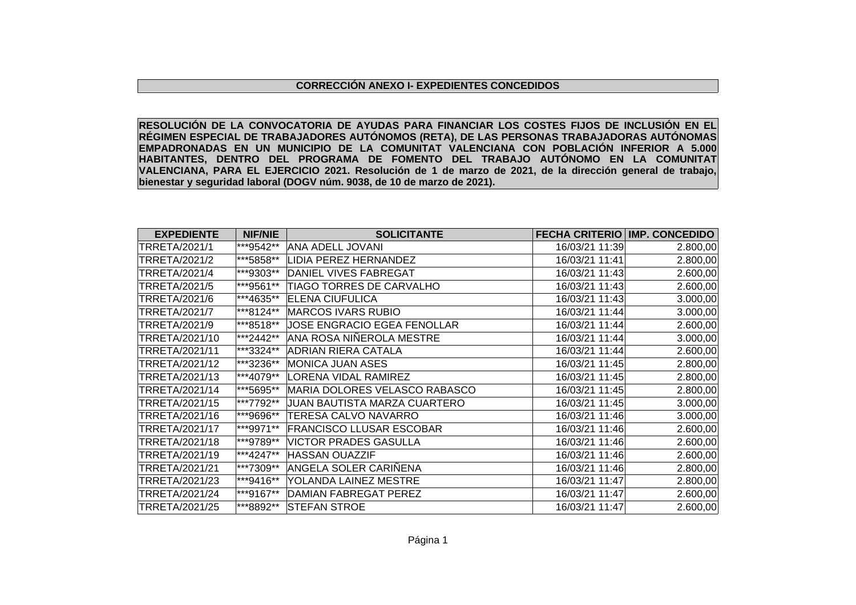## **CORRECCIÓN ANEXO I- EXPEDIENTES CONCEDIDOS**

**RESOLUCIÓN DE LA CONVOCATORIA DE AYUDAS PARA FINANCIAR LOS COSTES FIJOS DE INCLUSIÓN EN EL RÉGIMEN ESPECIAL DE TRABAJADORES AUTÓNOMOS (RETA), DE LAS PERSONAS TRABAJADORAS AUTÓNOMAS EMPADRONADAS EN UN MUNICIPIO DE LA COMUNITAT VALENCIANA CON POBLACIÓN INFERIOR A 5.000 HABITANTES, DENTRO DEL PROGRAMA DE FOMENTO DEL TRABAJO AUTÓNOMO EN LA COMUNITAT VALENCIANA, PARA EL EJERCICIO 2021. Resolución de 1 de marzo de 2021, de la dirección general de trabajo, bienestar y seguridad laboral (DOGV núm. 9038, de 10 de marzo de 2021).**

| <b>EXPEDIENTE</b>    | <b>NIF/NIE</b> | <b>SOLICITANTE</b>              | <b>FECHA CRITERIO</b> | <b>IMP. CONCEDIDO</b> |
|----------------------|----------------|---------------------------------|-----------------------|-----------------------|
| <b>TRRETA/2021/1</b> | ***9542**      | <b>ANA ADELL JOVANI</b>         | 16/03/21 11:39        | 2.800,00              |
| <b>TRRETA/2021/2</b> | ***5858**      | <b>LIDIA PEREZ HERNANDEZ</b>    | 16/03/21 11:41        | 2.800,00              |
| <b>TRRETA/2021/4</b> | ***9303**      | DANIEL VIVES FABREGAT           | 16/03/21 11:43        | 2.600,00              |
| <b>TRRETA/2021/5</b> | ***9561**      | TIAGO TORRES DE CARVALHO        | 16/03/21 11:43        | 2.600,00              |
| <b>TRRETA/2021/6</b> | ***4635**      | <b>ELENA CIUFULICA</b>          | 16/03/21 11:43        | 3.000,00              |
| <b>TRRETA/2021/7</b> | ***8124**      | <b>MARCOS IVARS RUBIO</b>       | 16/03/21 11:44        | 3.000,00              |
| TRRETA/2021/9        | ***8518**      | JOSE ENGRACIO EGEA FENOLLAR     | 16/03/21 11:44        | 2.600,00              |
| TRRETA/2021/10       | ***2442**      | ANA ROSA NIÑEROLA MESTRE        | 16/03/21 11:44        | 3.000,00              |
| TRRETA/2021/11       | ***3324**      | <b>ADRIAN RIERA CATALA</b>      | 16/03/21 11:44        | 2.600,00              |
| TRRETA/2021/12       | ***3236**      | <b>MONICA JUAN ASES</b>         | 16/03/21 11:45        | 2.800,00              |
| TRRETA/2021/13       | ***4079**      | <b>LORENA VIDAL RAMIREZ</b>     | 16/03/21 11:45        | 2.800,00              |
| TRRETA/2021/14       | ***5695**      | MARIA DOLORES VELASCO RABASCO   | 16/03/21 11:45        | 2.800,00              |
| TRRETA/2021/15       | ***7792**      | JUAN BAUTISTA MARZA CUARTERO    | 16/03/21 11:45        | 3.000,00              |
| TRRETA/2021/16       | ***9696**      | TERESA CALVO NAVARRO            | 16/03/21 11:46        | 3.000,00              |
| TRRETA/2021/17       | ***9971**      | <b>FRANCISCO LLUSAR ESCOBAR</b> | 16/03/21 11:46        | 2.600,00              |
| TRRETA/2021/18       | ***9789**      | <b>VICTOR PRADES GASULLA</b>    | 16/03/21 11:46        | 2.600,00              |
| TRRETA/2021/19       | ***4247**      | <b>HASSAN OUAZZIF</b>           | 16/03/21 11:46        | 2.600,00              |
| TRRETA/2021/21       | ***7309**      | ANGELA SOLER CARIÑENA           | 16/03/21 11:46        | 2.800,00              |
| TRRETA/2021/23       | ***9416**      | YOLANDA LAINEZ MESTRE           | 16/03/21 11:47        | 2.800,00              |
| TRRETA/2021/24       | ***9167**      | <b>DAMIAN FABREGAT PEREZ</b>    | 16/03/21 11:47        | 2.600,00              |
| TRRETA/2021/25       | ***8892**      | <b>STEFAN STROE</b>             | 16/03/21 11:47        | 2.600,00              |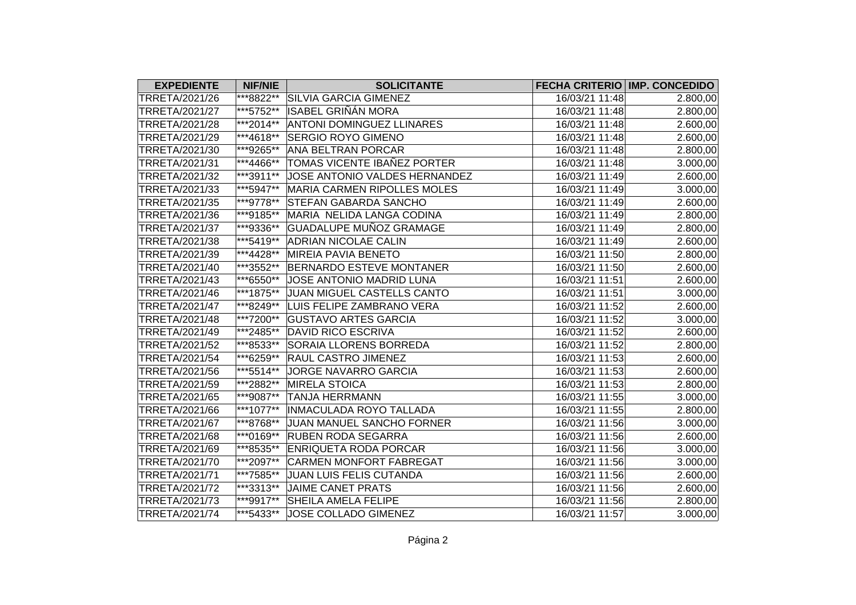| <b>EXPEDIENTE</b>     | <b>NIF/NIE</b> | <b>SOLICITANTE</b>                 |                | <b>FECHA CRITERIO IMP. CONCEDIDO</b> |
|-----------------------|----------------|------------------------------------|----------------|--------------------------------------|
| TRRETA/2021/26        | ***8822**      | <b>SILVIA GARCIA GIMENEZ</b>       | 16/03/21 11:48 | 2.800,00                             |
| TRRETA/2021/27        | ***5752**      | <b>ISABEL GRIÑÁN MORA</b>          | 16/03/21 11:48 | 2.800,00                             |
| TRRETA/2021/28        | ***2014**      | <b>ANTONI DOMINGUEZ LLINARES</b>   | 16/03/21 11:48 | 2.600,00                             |
| TRRETA/2021/29        | ***4618**      | <b>SERGIO ROYO GIMENO</b>          | 16/03/21 11:48 | 2.600,00                             |
| TRRETA/2021/30        | ***9265**      | <b>ANA BELTRAN PORCAR</b>          | 16/03/21 11:48 | 2.800,00                             |
| TRRETA/2021/31        | ***4466**      | TOMAS VICENTE IBAÑEZ PORTER        | 16/03/21 11:48 | 3.000,00                             |
| TRRETA/2021/32        | ***3911**      | JOSE ANTONIO VALDES HERNANDEZ      | 16/03/21 11:49 | 2.600,00                             |
| TRRETA/2021/33        | ***5947**      | <b>MARIA CARMEN RIPOLLES MOLES</b> | 16/03/21 11:49 | 3.000,00                             |
| TRRETA/2021/35        | ***9778**      | <b>STEFAN GABARDA SANCHO</b>       | 16/03/21 11:49 | 2.600,00                             |
| TRRETA/2021/36        | ***9185**      | MARIA NELIDA LANGA CODINA          | 16/03/21 11:49 | 2.800,00                             |
| TRRETA/2021/37        | ***9336**      | GUADALUPE MUÑOZ GRAMAGE            | 16/03/21 11:49 | 2.800,00                             |
| TRRETA/2021/38        | ***5419**      | <b>ADRIAN NICOLAE CALIN</b>        | 16/03/21 11:49 | 2.600,00                             |
| TRRETA/2021/39        | ***4428**      | <b>MIREIA PAVIA BENETO</b>         | 16/03/21 11:50 | 2.800,00                             |
| TRRETA/2021/40        | ***3552**      | <b>BERNARDO ESTEVE MONTANER</b>    | 16/03/21 11:50 | 2.600,00                             |
| TRRETA/2021/43        | ***6550**      | JOSE ANTONIO MADRID LUNA           | 16/03/21 11:51 | 2.600,00                             |
| TRRETA/2021/46        | ***1875**      | JUAN MIGUEL CASTELLS CANTO         | 16/03/21 11:51 | 3.000,00                             |
| TRRETA/2021/47        | ***8249**      | LUIS FELIPE ZAMBRANO VERA          | 16/03/21 11:52 | 2.600,00                             |
| TRRETA/2021/48        | ***7200**      | <b>GUSTAVO ARTES GARCIA</b>        | 16/03/21 11:52 | 3.000,00                             |
| TRRETA/2021/49        | ***2485**      | <b>DAVID RICO ESCRIVA</b>          | 16/03/21 11:52 | 2.600,00                             |
| TRRETA/2021/52        | ***8533**      | SORAIA LLORENS BORREDA             | 16/03/21 11:52 | 2.800,00                             |
| TRRETA/2021/54        | ***6259**      | <b>RAUL CASTRO JIMENEZ</b>         | 16/03/21 11:53 | 2.600,00                             |
| TRRETA/2021/56        | ***5514**      | JORGE NAVARRO GARCIA               | 16/03/21 11:53 | 2.600,00                             |
| TRRETA/2021/59        | ***2882**      | <b>MIRELA STOICA</b>               | 16/03/21 11:53 | 2.800,00                             |
| TRRETA/2021/65        | ***9087**      | <b>TANJA HERRMANN</b>              | 16/03/21 11:55 | 3.000,00                             |
| TRRETA/2021/66        | ***1077**      | INMACULADA ROYO TALLADA            | 16/03/21 11:55 | 2.800,00                             |
| TRRETA/2021/67        | ***8768**      | JUAN MANUEL SANCHO FORNER          | 16/03/21 11:56 | 3.000,00                             |
| TRRETA/2021/68        | ***0169**      | <b>RUBEN RODA SEGARRA</b>          | 16/03/21 11:56 | 2.600,00                             |
| TRRETA/2021/69        | ***8535**      | <b>ENRIQUETA RODA PORCAR</b>       | 16/03/21 11:56 | 3.000,00                             |
| TRRETA/2021/70        | ***2097**      | <b>CARMEN MONFORT FABREGAT</b>     | 16/03/21 11:56 | 3.000,00                             |
| TRRETA/2021/71        | ***7585**      | JUAN LUIS FELIS CUTANDA            | 16/03/21 11:56 | 2.600,00                             |
| TRRETA/2021/72        | ***3313**      | <b>JAIME CANET PRATS</b>           | 16/03/21 11:56 | 2.600,00                             |
| TRRETA/2021/73        | ***9917**      | SHEILA AMELA FELIPE                | 16/03/21 11:56 | 2.800,00                             |
| <b>TRRETA/2021/74</b> | ***5433**      | JOSE COLLADO GIMENEZ               | 16/03/21 11:57 | 3.000,00                             |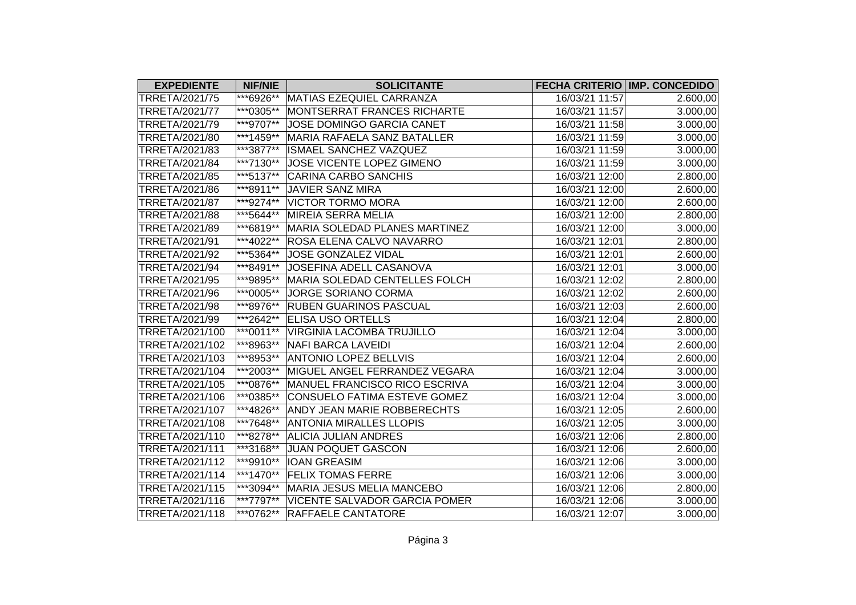| <b>EXPEDIENTE</b>     | <b>NIF/NIE</b> | <b>SOLICITANTE</b>                   |                | FECHA CRITERIO IMP. CONCEDIDO |
|-----------------------|----------------|--------------------------------------|----------------|-------------------------------|
| TRRETA/2021/75        | ***6926**      | MATIAS EZEQUIEL CARRANZA             | 16/03/21 11:57 | 2.600,00                      |
| TRRETA/2021/77        | ***0305**      | MONTSERRAT FRANCES RICHARTE          | 16/03/21 11:57 | 3.000,00                      |
| TRRETA/2021/79        | ***9707**      | JOSE DOMINGO GARCIA CANET            | 16/03/21 11:58 | 3.000,00                      |
| TRRETA/2021/80        | $ ***1459**$   | MARIA RAFAELA SANZ BATALLER          | 16/03/21 11:59 | 3.000,00                      |
| TRRETA/2021/83        | ***3877**      | ISMAEL SANCHEZ VAZQUEZ               | 16/03/21 11:59 | 3.000,00                      |
| <b>TRRETA/2021/84</b> | ***7130**      | JOSE VICENTE LOPEZ GIMENO            | 16/03/21 11:59 | 3.000,00                      |
| TRRETA/2021/85        | ***5137**      | <b>CARINA CARBO SANCHIS</b>          | 16/03/21 12:00 | 2.800,00                      |
| TRRETA/2021/86        | ***8911**      | <b>JAVIER SANZ MIRA</b>              | 16/03/21 12:00 | 2.600,00                      |
| TRRETA/2021/87        | ***9274**      | <b>VICTOR TORMO MORA</b>             | 16/03/21 12:00 | 2.600,00                      |
| TRRETA/2021/88        | ***5644**      | <b>MIREIA SERRA MELIA</b>            | 16/03/21 12:00 | 2.800,00                      |
| TRRETA/2021/89        | ***6819**      | MARIA SOLEDAD PLANES MARTINEZ        | 16/03/21 12:00 | 3.000,00                      |
| TRRETA/2021/91        | ***4022**      | <b>ROSA ELENA CALVO NAVARRO</b>      | 16/03/21 12:01 | 2.800,00                      |
| TRRETA/2021/92        | ***5364**      | JOSE GONZALEZ VIDAL                  | 16/03/21 12:01 | 2.600,00                      |
| TRRETA/2021/94        | ***8491**      | JOSEFINA ADELL CASANOVA              | 16/03/21 12:01 | 3.000,00                      |
| TRRETA/2021/95        | ***9895**      | <b>MARIA SOLEDAD CENTELLES FOLCH</b> | 16/03/21 12:02 | 2.800,00                      |
| TRRETA/2021/96        | ***0005**      | JORGE SORIANO CORMA                  | 16/03/21 12:02 | 2.600,00                      |
| TRRETA/2021/98        | ***8976**      | <b>RUBEN GUARINOS PASCUAL</b>        | 16/03/21 12:03 | 2.600,00                      |
| TRRETA/2021/99        | ***2642**      | <b>ELISA USO ORTELLS</b>             | 16/03/21 12:04 | 2.800,00                      |
| TRRETA/2021/100       | $ ***0011**$   | <b>VIRGINIA LACOMBA TRUJILLO</b>     | 16/03/21 12:04 | 3.000,00                      |
| TRRETA/2021/102       | ***8963**      | <b>NAFI BARCA LAVEIDI</b>            | 16/03/21 12:04 | 2.600,00                      |
| TRRETA/2021/103       | ***8953**      | <b>ANTONIO LOPEZ BELLVIS</b>         | 16/03/21 12:04 | 2.600,00                      |
| TRRETA/2021/104       | ***2003**      | MIGUEL ANGEL FERRANDEZ VEGARA        | 16/03/21 12:04 | 3.000,00                      |
| TRRETA/2021/105       | ***0876**      | MANUEL FRANCISCO RICO ESCRIVA        | 16/03/21 12:04 | 3.000,00                      |
| TRRETA/2021/106       | ***0385**      | CONSUELO FATIMA ESTEVE GOMEZ         | 16/03/21 12:04 | 3.000,00                      |
| TRRETA/2021/107       | ***4826**      | ANDY JEAN MARIE ROBBERECHTS          | 16/03/21 12:05 | 2.600,00                      |
| TRRETA/2021/108       | ***7648**      | <b>ANTONIA MIRALLES LLOPIS</b>       | 16/03/21 12:05 | 3.000,00                      |
| TRRETA/2021/110       | ***8278**      | <b>ALICIA JULIAN ANDRES</b>          | 16/03/21 12:06 | 2.800,00                      |
| TRRETA/2021/111       | ***3168**      | <b>JUAN POQUET GASCON</b>            | 16/03/21 12:06 | 2.600,00                      |
| TRRETA/2021/112       | ***9910**      | <b>IOAN GREASIM</b>                  | 16/03/21 12:06 | 3.000,00                      |
| TRRETA/2021/114       | ***1470**      | <b>FELIX TOMAS FERRE</b>             | 16/03/21 12:06 | 3.000,00                      |
| TRRETA/2021/115       | ***3094**      | MARIA JESUS MELIA MANCEBO            | 16/03/21 12:06 | 2.800,00                      |
| TRRETA/2021/116       | ***7797**      | <b>VICENTE SALVADOR GARCIA POMER</b> | 16/03/21 12:06 | 3.000,00                      |
| TRRETA/2021/118       | ***0762**      | <b>RAFFAELE CANTATORE</b>            | 16/03/21 12:07 | 3.000,00                      |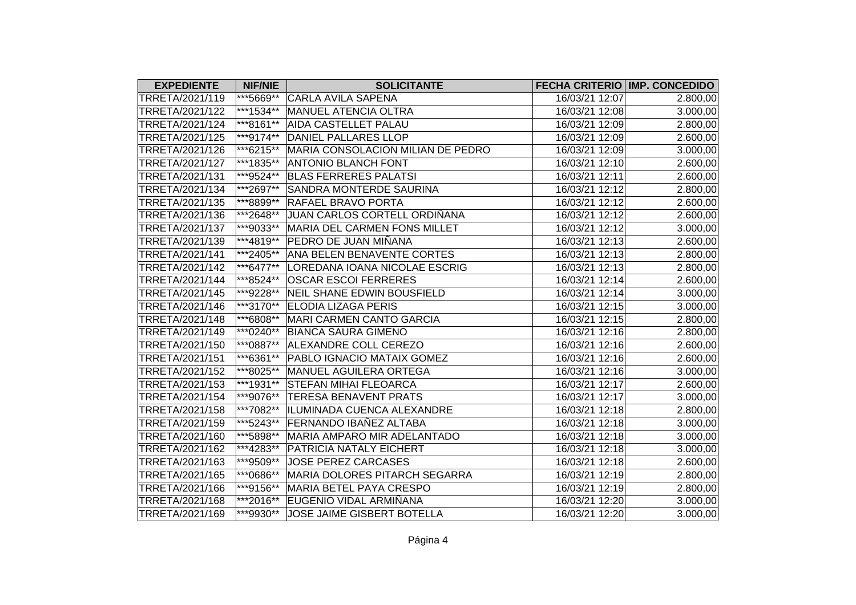| <b>EXPEDIENTE</b> | <b>NIF/NIE</b> | <b>SOLICITANTE</b>                |                | <b>FECHA CRITERIO IMP. CONCEDIDO</b> |
|-------------------|----------------|-----------------------------------|----------------|--------------------------------------|
| TRRETA/2021/119   | ***5669**      | <b>CARLA AVILA SAPENA</b>         | 16/03/21 12:07 | 2.800,00                             |
| TRRETA/2021/122   | ***1534**      | <b>MANUEL ATENCIA OLTRA</b>       | 16/03/21 12:08 | 3.000,00                             |
| TRRETA/2021/124   | ***8161**      | <b>AIDA CASTELLET PALAU</b>       | 16/03/21 12:09 | 2.800,00                             |
| TRRETA/2021/125   | ***9174**      | DANIEL PALLARES LLOP              | 16/03/21 12:09 | 2.600,00                             |
| TRRETA/2021/126   | ***6215**      | MARIA CONSOLACION MILIAN DE PEDRO | 16/03/21 12:09 | 3.000,00                             |
| TRRETA/2021/127   | ***1835**      | <b>ANTONIO BLANCH FONT</b>        | 16/03/21 12:10 | 2.600,00                             |
| TRRETA/2021/131   | ***9524**      | <b>BLAS FERRERES PALATSI</b>      | 16/03/21 12:11 | 2.600,00                             |
| TRRETA/2021/134   | ***2697**      | <b>SANDRA MONTERDE SAURINA</b>    | 16/03/21 12:12 | 2.800,00                             |
| TRRETA/2021/135   | ***8899**      | <b>RAFAEL BRAVO PORTA</b>         | 16/03/21 12:12 | 2.600,00                             |
| TRRETA/2021/136   | ***2648**      | JUAN CARLOS CORTELL ORDIÑANA      | 16/03/21 12:12 | 2.600,00                             |
| TRRETA/2021/137   | ***9033**      | MARIA DEL CARMEN FONS MILLET      | 16/03/21 12:12 | 3.000,00                             |
| TRRETA/2021/139   | ***4819**      | PEDRO DE JUAN MIÑANA              | 16/03/21 12:13 | 2.600,00                             |
| TRRETA/2021/141   | ***2405**      | <b>ANA BELEN BENAVENTE CORTES</b> | 16/03/21 12:13 | 2.800,00                             |
| TRRETA/2021/142   | ***6477**      | LOREDANA IOANA NICOLAE ESCRIG     | 16/03/21 12:13 | 2.800,00                             |
| TRRETA/2021/144   | ***8524**      | <b>OSCAR ESCOI FERRERES</b>       | 16/03/21 12:14 | 2.600,00                             |
| TRRETA/2021/145   | ***9228**      | <b>NEIL SHANE EDWIN BOUSFIELD</b> | 16/03/21 12:14 | 3.000,00                             |
| TRRETA/2021/146   | ***3170**      | <b>ELODIA LIZAGA PERIS</b>        | 16/03/21 12:15 | 3.000,00                             |
| TRRETA/2021/148   | ***6808**      | MARI CARMEN CANTO GARCIA          | 16/03/21 12:15 | 2.800,00                             |
| TRRETA/2021/149   | ***0240**      | <b>BIANCA SAURA GIMENO</b>        | 16/03/21 12:16 | 2.800,00                             |
| TRRETA/2021/150   | ***0887**      | ALEXANDRE COLL CEREZO             | 16/03/21 12:16 | 2.600,00                             |
| TRRETA/2021/151   | ***6361**      | PABLO IGNACIO MATAIX GOMEZ        | 16/03/21 12:16 | 2.600,00                             |
| TRRETA/2021/152   | ***8025**      | <b>MANUEL AGUILERA ORTEGA</b>     | 16/03/21 12:16 | 3.000,00                             |
| TRRETA/2021/153   | ***1931**      | <b>STEFAN MIHAI FLEOARCA</b>      | 16/03/21 12:17 | 2.600,00                             |
| TRRETA/2021/154   | ***9076**      | <b>TERESA BENAVENT PRATS</b>      | 16/03/21 12:17 | 3.000,00                             |
| TRRETA/2021/158   | ***7082**      | ILUMINADA CUENCA ALEXANDRE        | 16/03/21 12:18 | 2.800,00                             |
| TRRETA/2021/159   | ***5243**      | FERNANDO IBAÑEZ ALTABA            | 16/03/21 12:18 | 3.000,00                             |
| TRRETA/2021/160   | ***5898**      | MARIA AMPARO MIR ADELANTADO       | 16/03/21 12:18 | 3.000,00                             |
| TRRETA/2021/162   | ***4283**      | PATRICIA NATALY EICHERT           | 16/03/21 12:18 | 3.000,00                             |
| TRRETA/2021/163   | ***9509**      | <b>JOSE PEREZ CARCASES</b>        | 16/03/21 12:18 | 2.600,00                             |
| TRRETA/2021/165   | ***0686**      | MARIA DOLORES PITARCH SEGARRA     | 16/03/21 12:19 | 2.800,00                             |
| TRRETA/2021/166   | ***9156**      | <b>MARIA BETEL PAYA CRESPO</b>    | 16/03/21 12:19 | 2.800,00                             |
| TRRETA/2021/168   | ***2016**      | EUGENIO VIDAL ARMIÑANA            | 16/03/21 12:20 | 3.000,00                             |
| TRRETA/2021/169   | ***9930**      | JOSE JAIME GISBERT BOTELLA        | 16/03/21 12:20 | 3.000,00                             |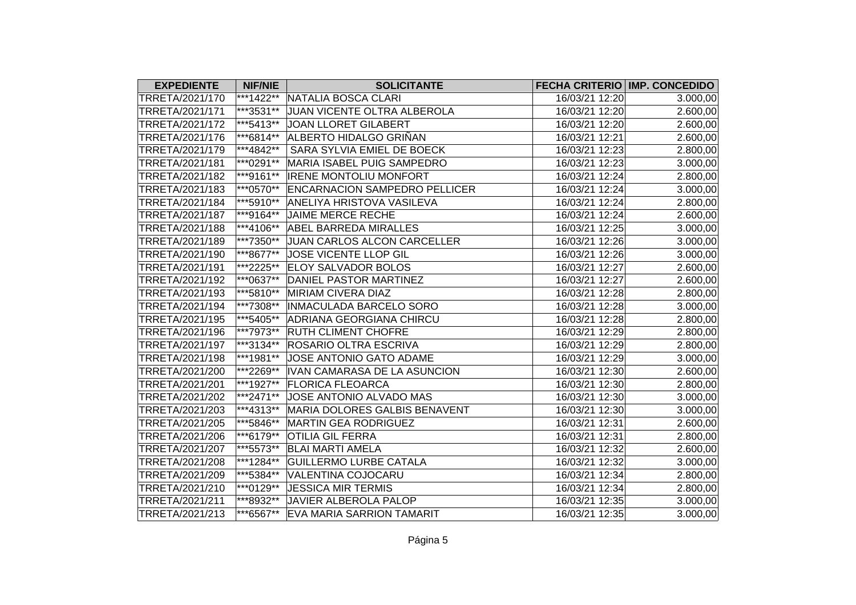| <b>EXPEDIENTE</b> | <b>NIF/NIE</b> | <b>SOLICITANTE</b>                   |                | <b>FECHA CRITERIO IMP. CONCEDIDO</b> |
|-------------------|----------------|--------------------------------------|----------------|--------------------------------------|
| TRRETA/2021/170   | ***1422**      | NATALIA BOSCA CLARI                  | 16/03/21 12:20 | 3.000,00                             |
| TRRETA/2021/171   | ***3531**      | JUAN VICENTE OLTRA ALBEROLA          | 16/03/21 12:20 | 2.600,00                             |
| TRRETA/2021/172   | $**5413**$     | JOAN LLORET GILABERT                 | 16/03/21 12:20 | 2.600,00                             |
| TRRETA/2021/176   | ***6814**      | ALBERTO HIDALGO GRIÑAN               | 16/03/21 12:21 | 2.600,00                             |
| TRRETA/2021/179   | ***4842**      | SARA SYLVIA EMIEL DE BOECK           | 16/03/21 12:23 | 2.800,00                             |
| TRRETA/2021/181   | ***0291**      | MARIA ISABEL PUIG SAMPEDRO           | 16/03/21 12:23 | 3.000,00                             |
| TRRETA/2021/182   | ***9161**      | <b>IRENE MONTOLIU MONFORT</b>        | 16/03/21 12:24 | 2.800,00                             |
| TRRETA/2021/183   | ***0570**      | <b>ENCARNACION SAMPEDRO PELLICER</b> | 16/03/21 12:24 | 3.000,00                             |
| TRRETA/2021/184   | ***5910**      | <b>ANELIYA HRISTOVA VASILEVA</b>     | 16/03/21 12:24 | 2.800,00                             |
| TRRETA/2021/187   | ***9164**      | <b>JAIME MERCE RECHE</b>             | 16/03/21 12:24 | 2.600,00                             |
| TRRETA/2021/188   | $ ***4106**$   | <b>ABEL BARREDA MIRALLES</b>         | 16/03/21 12:25 | 3.000,00                             |
| TRRETA/2021/189   | ***7350**      | JUAN CARLOS ALCON CARCELLER          | 16/03/21 12:26 | 3.000,00                             |
| TRRETA/2021/190   | ***8677**      | JOSE VICENTE LLOP GIL                | 16/03/21 12:26 | 3.000,00                             |
| TRRETA/2021/191   | ***2225**      | <b>ELOY SALVADOR BOLOS</b>           | 16/03/21 12:27 | $\overline{2.600,00}$                |
| TRRETA/2021/192   | ***0637**      | DANIEL PASTOR MARTINEZ               | 16/03/21 12:27 | 2.600,00                             |
| TRRETA/2021/193   | ***5810**      | <b>MIRIAM CIVERA DIAZ</b>            | 16/03/21 12:28 | 2.800,00                             |
| TRRETA/2021/194   | ***7308**      | INMACULADA BARCELO SORO              | 16/03/21 12:28 | 3.000,00                             |
| TRRETA/2021/195   | ***5405**      | <b>ADRIANA GEORGIANA CHIRCU</b>      | 16/03/21 12:28 | 2.800,00                             |
| TRRETA/2021/196   | ***7973**      | <b>RUTH CLIMENT CHOFRE</b>           | 16/03/21 12:29 | 2.800,00                             |
| TRRETA/2021/197   | ***3134**      | <b>ROSARIO OLTRA ESCRIVA</b>         | 16/03/21 12:29 | 2.800,00                             |
| TRRETA/2021/198   | ***1981**      | JOSE ANTONIO GATO ADAME              | 16/03/21 12:29 | 3.000,00                             |
| TRRETA/2021/200   | ***2269**      | IVAN CAMARASA DE LA ASUNCION         | 16/03/21 12:30 | 2.600,00                             |
| TRRETA/2021/201   | ***1927**      | <b>FLORICA FLEOARCA</b>              | 16/03/21 12:30 | 2.800,00                             |
| TRRETA/2021/202   | ***2471**      | JOSE ANTONIO ALVADO MAS              | 16/03/21 12:30 | 3.000,00                             |
| TRRETA/2021/203   | ***4313**      | MARIA DOLORES GALBIS BENAVENT        | 16/03/21 12:30 | 3.000,00                             |
| TRRETA/2021/205   | ***5846**      | <b>MARTIN GEA RODRIGUEZ</b>          | 16/03/21 12:31 | 2.600,00                             |
| TRRETA/2021/206   | ***6179**      | <b>OTILIA GIL FERRA</b>              | 16/03/21 12:31 | 2.800,00                             |
| TRRETA/2021/207   | ***5573**      | <b>BLAI MARTI AMELA</b>              | 16/03/21 12:32 | 2.600,00                             |
| TRRETA/2021/208   | ***1284**      | <b>GUILLERMO LURBE CATALA</b>        | 16/03/21 12:32 | 3.000,00                             |
| TRRETA/2021/209   | ***5384**      | VALENTINA COJOCARU                   | 16/03/21 12:34 | 2.800,00                             |
| TRRETA/2021/210   | ***0129**      | <b>JESSICA MIR TERMIS</b>            | 16/03/21 12:34 | 2.800,00                             |
| TRRETA/2021/211   | ***8932**      | JAVIER ALBEROLA PALOP                | 16/03/21 12:35 | 3.000,00                             |
| TRRETA/2021/213   | ***6567**      | <b>EVA MARIA SARRION TAMARIT</b>     | 16/03/21 12:35 | 3.000,00                             |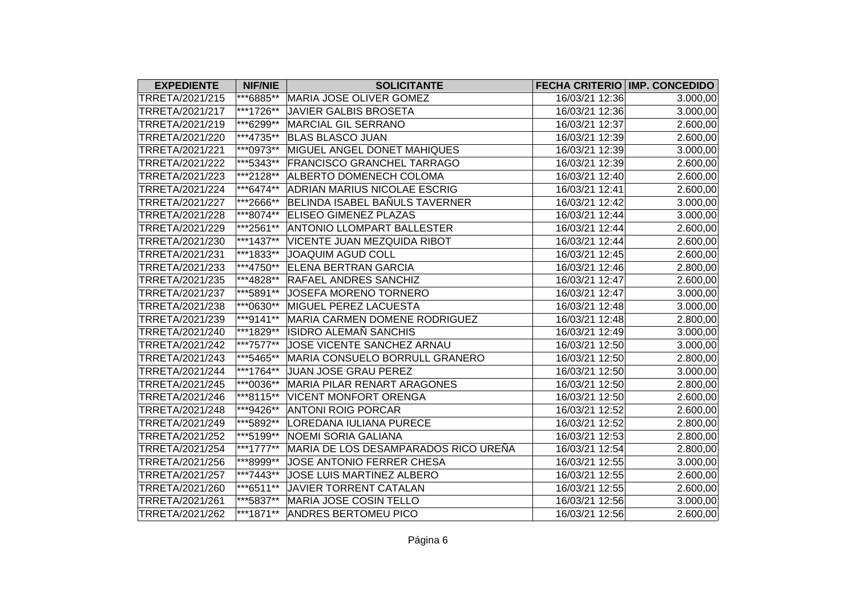| <b>EXPEDIENTE</b> | <b>NIF/NIE</b>       | <b>SOLICITANTE</b>                   |                | <b>FECHA CRITERIO IMP. CONCEDIDO</b> |
|-------------------|----------------------|--------------------------------------|----------------|--------------------------------------|
| TRRETA/2021/215   | <sup>***6885**</sup> | MARIA JOSE OLIVER GOMEZ              | 16/03/21 12:36 | 3.000,00                             |
| TRRETA/2021/217   | ***1726**            | <b>JAVIER GALBIS BROSETA</b>         | 16/03/21 12:36 | 3.000,00                             |
| TRRETA/2021/219   | ***6299**            | MARCIAL GIL SERRANO                  | 16/03/21 12:37 | 2.600,00                             |
| TRRETA/2021/220   | ***4735**            | <b>BLAS BLASCO JUAN</b>              | 16/03/21 12:39 | 2.600,00                             |
| TRRETA/2021/221   | ***0973**            | MIGUEL ANGEL DONET MAHIQUES          | 16/03/21 12:39 | 3.000,00                             |
| TRRETA/2021/222   | ***5343**            | <b>FRANCISCO GRANCHEL TARRAGO</b>    | 16/03/21 12:39 | 2.600,00                             |
| TRRETA/2021/223   | ***2128**            | ALBERTO DOMENECH COLOMA              | 16/03/21 12:40 | 2.600,00                             |
| TRRETA/2021/224   | ***6474**            | <b>ADRIAN MARIUS NICOLAE ESCRIG</b>  | 16/03/21 12:41 | 2.600,00                             |
| TRRETA/2021/227   | ***2666**            | BELINDA ISABEL BAÑULS TAVERNER       | 16/03/21 12:42 | 3.000,00                             |
| TRRETA/2021/228   | ***8074**            | <b>ELISEO GIMENEZ PLAZAS</b>         | 16/03/21 12:44 | 3.000,00                             |
| TRRETA/2021/229   | ***2561**            | <b>ANTONIO LLOMPART BALLESTER</b>    | 16/03/21 12:44 | 2.600,00                             |
| TRRETA/2021/230   | ***1437**            | VICENTE JUAN MEZQUIDA RIBOT          | 16/03/21 12:44 | 2.600,00                             |
| TRRETA/2021/231   | ***1833**            | <b>JOAQUIM AGUD COLL</b>             | 16/03/21 12:45 | 2.600,00                             |
| TRRETA/2021/233   | ***4750**            | <b>ELENA BERTRAN GARCIA</b>          | 16/03/21 12:46 | 2.800,00                             |
| TRRETA/2021/235   | ***4828**            | <b>RAFAEL ANDRES SANCHIZ</b>         | 16/03/21 12:47 | 2.600,00                             |
| TRRETA/2021/237   | ***5891**            | JOSEFA MORENO TORNERO                | 16/03/21 12:47 | 3.000,00                             |
| TRRETA/2021/238   | ***0630**            | MIGUEL PEREZ LACUESTA                | 16/03/21 12:48 | 3.000,00                             |
| TRRETA/2021/239   | $**9141**$           | MARIA CARMEN DOMENE RODRIGUEZ        | 16/03/21 12:48 | 2.800,00                             |
| TRRETA/2021/240   | ***1829**            | <b>ISIDRO ALEMAÑ SANCHIS</b>         | 16/03/21 12:49 | 3.000,00                             |
| TRRETA/2021/242   | ***7577**            | JOSE VICENTE SANCHEZ ARNAU           | 16/03/21 12:50 | 3.000,00                             |
| TRRETA/2021/243   | ***5465**            | MARIA CONSUELO BORRULL GRANERO       | 16/03/21 12:50 | 2.800,00                             |
| TRRETA/2021/244   | ***1764**            | JUAN JOSE GRAU PEREZ                 | 16/03/21 12:50 | 3.000,00                             |
| TRRETA/2021/245   | ***0036**            | MARIA PILAR RENART ARAGONES          | 16/03/21 12:50 | 2.800,00                             |
| TRRETA/2021/246   | ***8115**            | <b>VICENT MONFORT ORENGA</b>         | 16/03/21 12:50 | 2.600,00                             |
| TRRETA/2021/248   | ***9426**            | <b>ANTONI ROIG PORCAR</b>            | 16/03/21 12:52 | 2.600,00                             |
| TRRETA/2021/249   | ***5892**            | LOREDANA IULIANA PURECE              | 16/03/21 12:52 | 2.800,00                             |
| TRRETA/2021/252   | ***5199**            | <b>NOEMI SORIA GALIANA</b>           | 16/03/21 12:53 | 2.800,00                             |
| TRRETA/2021/254   | ***1777**            | MARIA DE LOS DESAMPARADOS RICO UREÑA | 16/03/21 12:54 | 2.800,00                             |
| TRRETA/2021/256   | ***8999**            | JOSE ANTONIO FERRER CHESA            | 16/03/21 12:55 | 3.000,00                             |
| TRRETA/2021/257   | ***7443**            | JOSE LUIS MARTINEZ ALBERO            | 16/03/21 12:55 | 2.600,00                             |
| TRRETA/2021/260   | ***6511**            | <b>JAVIER TORRENT CATALAN</b>        | 16/03/21 12:55 | 2.600,00                             |
| TRRETA/2021/261   | ***5837**            | MARIA JOSE COSIN TELLO               | 16/03/21 12:56 | 3.000,00                             |
| TRRETA/2021/262   | ***1871**            | <b>ANDRES BERTOMEU PICO</b>          | 16/03/21 12:56 | 2.600,00                             |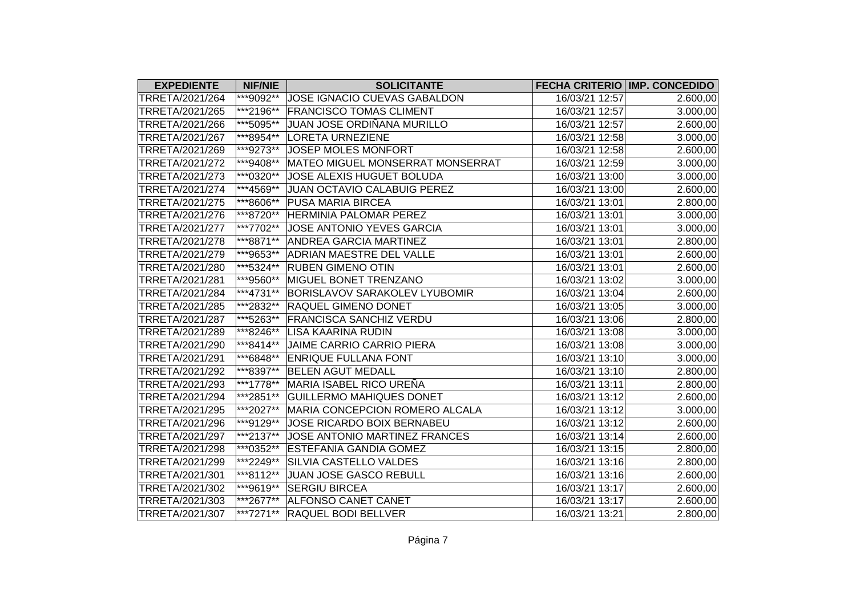| <b>EXPEDIENTE</b> | <b>NIF/NIE</b> | <b>SOLICITANTE</b>                   |                | <b>FECHA CRITERIO IMP. CONCEDIDO</b> |
|-------------------|----------------|--------------------------------------|----------------|--------------------------------------|
| TRRETA/2021/264   | ***9092**      | JOSE IGNACIO CUEVAS GABALDON         | 16/03/21 12:57 | 2.600,00                             |
| TRRETA/2021/265   | ***2196**      | <b>FRANCISCO TOMAS CLIMENT</b>       | 16/03/21 12:57 | 3.000,00                             |
| TRRETA/2021/266   | ***5095**      | JUAN JOSE ORDIÑANA MURILLO           | 16/03/21 12:57 | 2.600,00                             |
| TRRETA/2021/267   | ***8954**      | <b>LORETA URNEZIENE</b>              | 16/03/21 12:58 | 3.000,00                             |
| TRRETA/2021/269   | ***9273**      | JOSEP MOLES MONFORT                  | 16/03/21 12:58 | 2.600,00                             |
| TRRETA/2021/272   | ***9408**      | MATEO MIGUEL MONSERRAT MONSERRAT     | 16/03/21 12:59 | 3.000,00                             |
| TRRETA/2021/273   | ***0320**      | JOSE ALEXIS HUGUET BOLUDA            | 16/03/21 13:00 | 3.000,00                             |
| TRRETA/2021/274   | ***4569**      | JUAN OCTAVIO CALABUIG PEREZ          | 16/03/21 13:00 | 2.600,00                             |
| TRRETA/2021/275   | ***8606**      | <b>PUSA MARIA BIRCEA</b>             | 16/03/21 13:01 | 2.800,00                             |
| TRRETA/2021/276   | ***8720**      | <b>HERMINIA PALOMAR PEREZ</b>        | 16/03/21 13:01 | 3.000,00                             |
| TRRETA/2021/277   | ***7702**      | JOSE ANTONIO YEVES GARCIA            | 16/03/21 13:01 | 3.000,00                             |
| TRRETA/2021/278   | ***8871**      | <b>ANDREA GARCIA MARTINEZ</b>        | 16/03/21 13:01 | 2.800,00                             |
| TRRETA/2021/279   | ***9653**      | <b>ADRIAN MAESTRE DEL VALLE</b>      | 16/03/21 13:01 | 2.600,00                             |
| TRRETA/2021/280   | ***5324**      | <b>RUBEN GIMENO OTIN</b>             | 16/03/21 13:01 | 2.600,00                             |
| TRRETA/2021/281   | ***9560**      | MIGUEL BONET TRENZANO                | 16/03/21 13:02 | 3.000,00                             |
| TRRETA/2021/284   | ***4731**      | <b>BORISLAVOV SARAKOLEV LYUBOMIR</b> | 16/03/21 13:04 | 2.600,00                             |
| TRRETA/2021/285   | ***2832**      | <b>RAQUEL GIMENO DONET</b>           | 16/03/21 13:05 | 3.000,00                             |
| TRRETA/2021/287   | ***5263**      | <b>FRANCISCA SANCHIZ VERDU</b>       | 16/03/21 13:06 | 2.800,00                             |
| TRRETA/2021/289   | ***8246**      | LISA KAARINA RUDIN                   | 16/03/21 13:08 | 3.000,00                             |
| TRRETA/2021/290   | ***8414**      | JAIME CARRIO CARRIO PIERA            | 16/03/21 13:08 | 3.000,00                             |
| TRRETA/2021/291   | ***6848**      | <b>ENRIQUE FULLANA FONT</b>          | 16/03/21 13:10 | 3.000,00                             |
| TRRETA/2021/292   | ***8397**      | <b>BELEN AGUT MEDALL</b>             | 16/03/21 13:10 | 2.800,00                             |
| TRRETA/2021/293   | $ ***1778**$   | MARIA ISABEL RICO UREÑA              | 16/03/21 13:11 | 2.800,00                             |
| TRRETA/2021/294   | ***2851**      | <b>GUILLERMO MAHIQUES DONET</b>      | 16/03/21 13:12 | 2.600,00                             |
| TRRETA/2021/295   | ***2027**      | MARIA CONCEPCION ROMERO ALCALA       | 16/03/21 13:12 | 3.000,00                             |
| TRRETA/2021/296   | ***9129**      | JOSE RICARDO BOIX BERNABEU           | 16/03/21 13:12 | 2.600,00                             |
| TRRETA/2021/297   | ***2137**      | JOSE ANTONIO MARTINEZ FRANCES        | 16/03/21 13:14 | 2.600,00                             |
| TRRETA/2021/298   | ***0352**      | <b>ESTEFANIA GANDIA GOMEZ</b>        | 16/03/21 13:15 | 2.800,00                             |
| TRRETA/2021/299   | ***2249**      | SILVIA CASTELLO VALDES               | 16/03/21 13:16 | 2.800,00                             |
| TRRETA/2021/301   | ***8112**      | JUAN JOSE GASCO REBULL               | 16/03/21 13:16 | 2.600,00                             |
| TRRETA/2021/302   | ***9619**      | <b>SERGIU BIRCEA</b>                 | 16/03/21 13:17 | 2.600,00                             |
| TRRETA/2021/303   | ***2677**      | <b>ALFONSO CANET CANET</b>           | 16/03/21 13:17 | 2.600,00                             |
| TRRETA/2021/307   | ***7271**      | <b>RAQUEL BODI BELLVER</b>           | 16/03/21 13:21 | 2.800,00                             |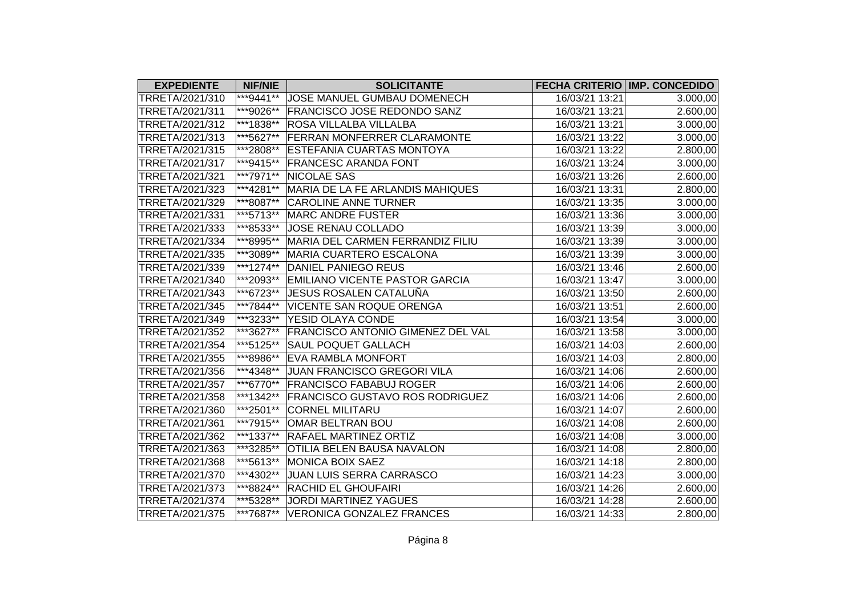| <b>EXPEDIENTE</b>      | <b>NIF/NIE</b> | <b>SOLICITANTE</b>                       |                | FECHA CRITERIO IMP. CONCEDIDO |
|------------------------|----------------|------------------------------------------|----------------|-------------------------------|
| TRRETA/2021/310        | ***9441**      | JOSE MANUEL GUMBAU DOMENECH              | 16/03/21 13:21 | 3.000,00                      |
| TRRETA/2021/311        | ***9026**      | FRANCISCO JOSE REDONDO SANZ              | 16/03/21 13:21 | 2.600,00                      |
| TRRETA/2021/312        | ***1838**      | <b>ROSA VILLALBA VILLALBA</b>            | 16/03/21 13:21 | 3.000,00                      |
| TRRETA/2021/313        | ***5627**      | <b>FERRAN MONFERRER CLARAMONTE</b>       | 16/03/21 13:22 | 3.000,00                      |
| TRRETA/2021/315        | ***2808**      | <b>ESTEFANIA CUARTAS MONTOYA</b>         | 16/03/21 13:22 | 2.800,00                      |
| TRRETA/2021/317        | ***9415**      | <b>FRANCESC ARANDA FONT</b>              | 16/03/21 13:24 | 3.000,00                      |
| TRRETA/2021/321        | ***7971**      | <b>NICOLAE SAS</b>                       | 16/03/21 13:26 | 2.600,00                      |
| TRRETA/2021/323        | ***4281**      | MARIA DE LA FE ARLANDIS MAHIQUES         | 16/03/21 13:31 | 2.800,00                      |
| TRRETA/2021/329        | ***8087**      | <b>CAROLINE ANNE TURNER</b>              | 16/03/21 13:35 | 3.000,00                      |
| TRRETA/2021/331        | ***5713**      | <b>MARC ANDRE FUSTER</b>                 | 16/03/21 13:36 | 3.000,00                      |
| TRRETA/2021/333        | ***8533**      | JOSE RENAU COLLADO                       | 16/03/21 13:39 | 3.000,00                      |
| TRRETA/2021/334        | ***8995**      | MARIA DEL CARMEN FERRANDIZ FILIU         | 16/03/21 13:39 | 3.000,00                      |
| TRRETA/2021/335        | ***3089**      | <b>MARIA CUARTERO ESCALONA</b>           | 16/03/21 13:39 | 3.000,00                      |
| TRRETA/2021/339        | $**1274**$     | DANIEL PANIEGO REUS                      | 16/03/21 13:46 | 2.600,00                      |
| TRRETA/2021/340        | ***2093**      | <b>EMILIANO VICENTE PASTOR GARCIA</b>    | 16/03/21 13:47 | 3.000,00                      |
| TRRETA/2021/343        | ***6723**      | JESUS ROSALEN CATALUÑA                   | 16/03/21 13:50 | 2.600,00                      |
| TRRETA/2021/345        | ***7844**      | VICENTE SAN ROQUE ORENGA                 | 16/03/21 13:51 | 2.600,00                      |
| TRRETA/2021/349        | ***3233**      | YESID OLAYA CONDE                        | 16/03/21 13:54 | 3.000,00                      |
| TRRETA/2021/352        | ***3627**      | <b>FRANCISCO ANTONIO GIMENEZ DEL VAL</b> | 16/03/21 13:58 | 3.000,00                      |
| TRRETA/2021/354        | ***5125**      | SAUL POQUET GALLACH                      | 16/03/21 14:03 | 2.600,00                      |
| TRRETA/2021/355        | ***8986**      | <b>EVA RAMBLA MONFORT</b>                | 16/03/21 14:03 | 2.800,00                      |
| TRRETA/2021/356        | ***4348**      | JUAN FRANCISCO GREGORI VILA              | 16/03/21 14:06 | 2.600,00                      |
| TRRETA/2021/357        | ***6770**      | <b>FRANCISCO FABABUJ ROGER</b>           | 16/03/21 14:06 | 2.600,00                      |
| TRRETA/2021/358        | ***1342**      | <b>FRANCISCO GUSTAVO ROS RODRIGUEZ</b>   | 16/03/21 14:06 | 2.600,00                      |
| TRRETA/2021/360        | ***2501**      | <b>CORNEL MILITARU</b>                   | 16/03/21 14:07 | 2.600,00                      |
| TRRETA/2021/361        | ***7915**      | OMAR BELTRAN BOU                         | 16/03/21 14:08 | 2.600,00                      |
| TRRETA/2021/362        | ***1337**      | <b>RAFAEL MARTINEZ ORTIZ</b>             | 16/03/21 14:08 | 3.000,00                      |
| TRRETA/2021/363        | ***3285**      | OTILIA BELEN BAUSA NAVALON               | 16/03/21 14:08 | 2.800,00                      |
| TRRETA/2021/368        | ***5613**      | <b>MONICA BOIX SAEZ</b>                  | 16/03/21 14:18 | 2.800,00                      |
| TRRETA/2021/370        | ***4302**      | JUAN LUIS SERRA CARRASCO                 | 16/03/21 14:23 | 3.000,00                      |
| TRRETA/2021/373        | ***8824**      | <b>RACHID EL GHOUFAIRI</b>               | 16/03/21 14:26 | 2.600,00                      |
| TRRETA/2021/374        | ***5328**      | <b>JORDI MARTINEZ YAGUES</b>             | 16/03/21 14:28 | 2.600,00                      |
| <b>TRRETA/2021/375</b> | ***7687**      | <b>VERONICA GONZALEZ FRANCES</b>         | 16/03/21 14:33 | 2.800,00                      |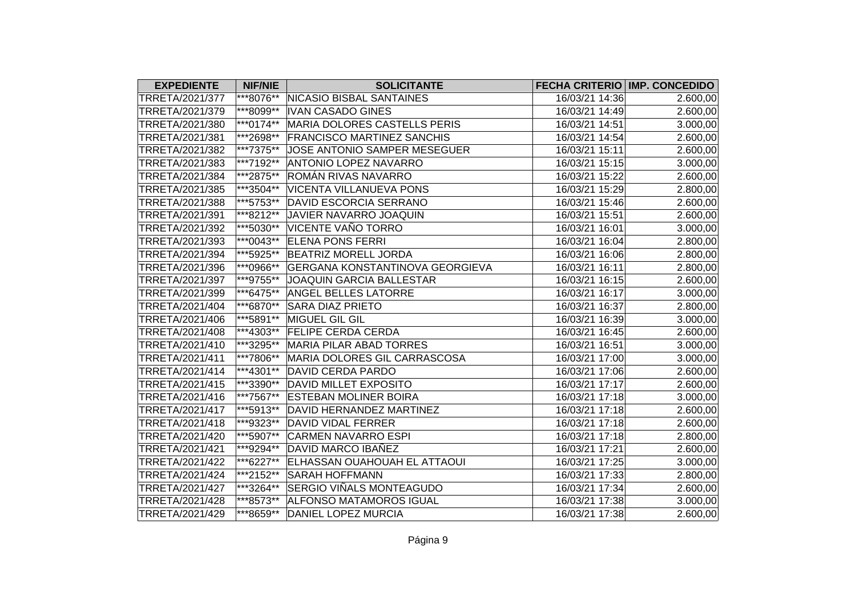| <b>EXPEDIENTE</b> | <b>NIF/NIE</b> | <b>SOLICITANTE</b>                     |                | FECHA CRITERIO IMP. CONCEDIDO |
|-------------------|----------------|----------------------------------------|----------------|-------------------------------|
| TRRETA/2021/377   | ***8076**      | <b>NICASIO BISBAL SANTAINES</b>        | 16/03/21 14:36 | 2.600,00                      |
| TRRETA/2021/379   | ***8099**      | <b>IVAN CASADO GINES</b>               | 16/03/21 14:49 | 2.600,00                      |
| TRRETA/2021/380   | ***0174**      | MARIA DOLORES CASTELLS PERIS           | 16/03/21 14:51 | 3.000,00                      |
| TRRETA/2021/381   | ***2698**      | <b>FRANCISCO MARTINEZ SANCHIS</b>      | 16/03/21 14:54 | 2.600,00                      |
| TRRETA/2021/382   | ***7375**      | JOSE ANTONIO SAMPER MESEGUER           | 16/03/21 15:11 | 2.600,00                      |
| TRRETA/2021/383   | ***7192**      | <b>ANTONIO LOPEZ NAVARRO</b>           | 16/03/21 15:15 | 3.000,00                      |
| TRRETA/2021/384   | ***2875**      | ROMÁN RIVAS NAVARRO                    | 16/03/21 15:22 | 2.600,00                      |
| TRRETA/2021/385   | ***3504**      | <b>VICENTA VILLANUEVA PONS</b>         | 16/03/21 15:29 | 2.800,00                      |
| TRRETA/2021/388   | ***5753**      | DAVID ESCORCIA SERRANO                 | 16/03/21 15:46 | 2.600,00                      |
| TRRETA/2021/391   | ***8212**      | JAVIER NAVARRO JOAQUIN                 | 16/03/21 15:51 | 2.600,00                      |
| TRRETA/2021/392   | ***5030**      | VICENTE VAÑO TORRO                     | 16/03/21 16:01 | 3.000,00                      |
| TRRETA/2021/393   | ***0043**      | <b>ELENA PONS FERRI</b>                | 16/03/21 16:04 | 2.800,00                      |
| TRRETA/2021/394   | ***5925**      | <b>BEATRIZ MORELL JORDA</b>            | 16/03/21 16:06 | 2.800,00                      |
| TRRETA/2021/396   | ***0966**      | <b>GERGANA KONSTANTINOVA GEORGIEVA</b> | 16/03/21 16:11 | 2.800,00                      |
| TRRETA/2021/397   | ***9755**      | JOAQUIN GARCIA BALLESTAR               | 16/03/21 16:15 | 2.600,00                      |
| TRRETA/2021/399   | ***6475**      | <b>ANGEL BELLES LATORRE</b>            | 16/03/21 16:17 | 3.000,00                      |
| TRRETA/2021/404   | ***6870**      | <b>SARA DIAZ PRIETO</b>                | 16/03/21 16:37 | 2.800,00                      |
| TRRETA/2021/406   | ***5891**      | MIGUEL GIL GIL                         | 16/03/21 16:39 | 3.000,00                      |
| TRRETA/2021/408   | ***4303**      | <b>FELIPE CERDA CERDA</b>              | 16/03/21 16:45 | 2.600,00                      |
| TRRETA/2021/410   | ***3295**      | <b>MARIA PILAR ABAD TORRES</b>         | 16/03/21 16:51 | 3.000,00                      |
| TRRETA/2021/411   | ***7806**      | MARIA DOLORES GIL CARRASCOSA           | 16/03/21 17:00 | 3.000,00                      |
| TRRETA/2021/414   | ***4301**      | <b>DAVID CERDA PARDO</b>               | 16/03/21 17:06 | 2.600,00                      |
| TRRETA/2021/415   | ***3390**      | <b>DAVID MILLET EXPOSITO</b>           | 16/03/21 17:17 | 2.600,00                      |
| TRRETA/2021/416   | ***7567**      | <b>ESTEBAN MOLINER BOIRA</b>           | 16/03/21 17:18 | 3.000,00                      |
| TRRETA/2021/417   | ***5913**      | DAVID HERNANDEZ MARTINEZ               | 16/03/21 17:18 | 2.600,00                      |
| TRRETA/2021/418   | ***9323**      | <b>DAVID VIDAL FERRER</b>              | 16/03/21 17:18 | 2.600,00                      |
| TRRETA/2021/420   | ***5907**      | <b>CARMEN NAVARRO ESPI</b>             | 16/03/21 17:18 | 2.800,00                      |
| TRRETA/2021/421   | ***9294**      | DAVID MARCO IBAÑEZ                     | 16/03/21 17:21 | 2.600,00                      |
| TRRETA/2021/422   | ***6227**      | ELHASSAN OUAHOUAH EL ATTAOUI           | 16/03/21 17:25 | 3.000,00                      |
| TRRETA/2021/424   | ***2152**      | <b>SARAH HOFFMANN</b>                  | 16/03/21 17:33 | 2.800,00                      |
| TRRETA/2021/427   | ***3264**      | SERGIO VIÑALS MONTEAGUDO               | 16/03/21 17:34 | 2.600,00                      |
| TRRETA/2021/428   | ***8573**      | <b>ALFONSO MATAMOROS IGUAL</b>         | 16/03/21 17:38 | 3.000,00                      |
| TRRETA/2021/429   | ***8659**      | <b>DANIEL LOPEZ MURCIA</b>             | 16/03/21 17:38 | 2.600,00                      |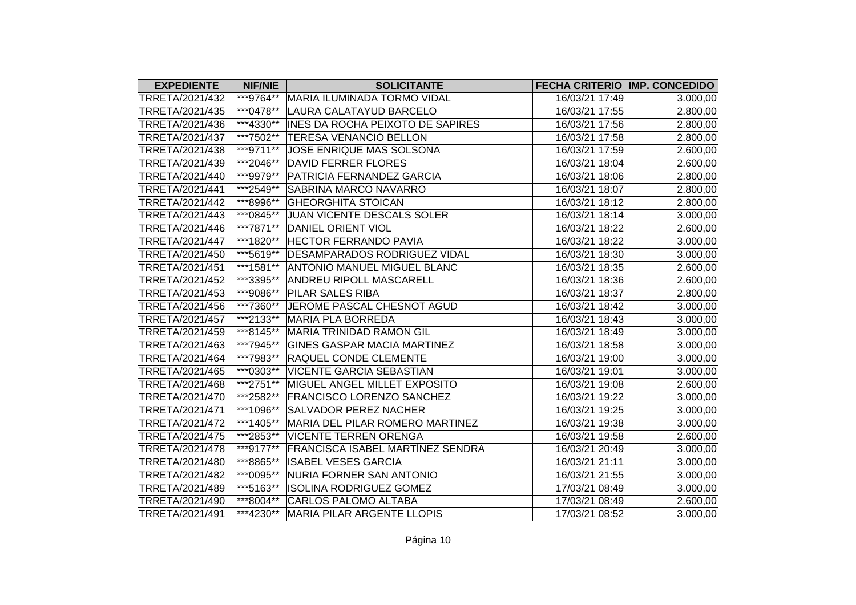| <b>EXPEDIENTE</b> | <b>NIF/NIE</b> | <b>SOLICITANTE</b>                      |                | <b>FECHA CRITERIO IMP. CONCEDIDO</b> |
|-------------------|----------------|-----------------------------------------|----------------|--------------------------------------|
| TRRETA/2021/432   | ***9764**      | MARIA ILUMINADA TORMO VIDAL             | 16/03/21 17:49 | 3.000,00                             |
| TRRETA/2021/435   | ***0478**      | LAURA CALATAYUD BARCELO                 | 16/03/21 17:55 | 2.800,00                             |
| TRRETA/2021/436   | ***4330**      | <b>INES DA ROCHA PEIXOTO DE SAPIRES</b> | 16/03/21 17:56 | 2.800,00                             |
| TRRETA/2021/437   | ***7502**      | <b>TERESA VENANCIO BELLON</b>           | 16/03/21 17:58 | 2.800,00                             |
| TRRETA/2021/438   | ***9711**      | JOSE ENRIQUE MAS SOLSONA                | 16/03/21 17:59 | 2.600,00                             |
| TRRETA/2021/439   | ***2046**      | <b>DAVID FERRER FLORES</b>              | 16/03/21 18:04 | 2.600,00                             |
| TRRETA/2021/440   | ***9979**      | PATRICIA FERNANDEZ GARCIA               | 16/03/21 18:06 | 2.800,00                             |
| TRRETA/2021/441   | ***2549**      | <b>SABRINA MARCO NAVARRO</b>            | 16/03/21 18:07 | 2.800,00                             |
| TRRETA/2021/442   | ***8996**      | <b>GHEORGHITA STOICAN</b>               | 16/03/21 18:12 | 2.800,00                             |
| TRRETA/2021/443   | ***0845**      | JUAN VICENTE DESCALS SOLER              | 16/03/21 18:14 | 3.000,00                             |
| TRRETA/2021/446   | ***7871**      | <b>DANIEL ORIENT VIOL</b>               | 16/03/21 18:22 | 2.600,00                             |
| TRRETA/2021/447   | ***1820**      | <b>HECTOR FERRANDO PAVIA</b>            | 16/03/21 18:22 | 3.000,00                             |
| TRRETA/2021/450   | ***5619**      | <b>DESAMPARADOS RODRIGUEZ VIDAL</b>     | 16/03/21 18:30 | 3.000,00                             |
| TRRETA/2021/451   | ***1581**      | <b>ANTONIO MANUEL MIGUEL BLANC</b>      | 16/03/21 18:35 | 2.600,00                             |
| TRRETA/2021/452   | ***3395**      | <b>ANDREU RIPOLL MASCARELL</b>          | 16/03/21 18:36 | 2.600,00                             |
| TRRETA/2021/453   | ***9086**      | <b>PILAR SALES RIBA</b>                 | 16/03/21 18:37 | 2.800,00                             |
| TRRETA/2021/456   | ***7360**      | JEROME PASCAL CHESNOT AGUD              | 16/03/21 18:42 | 3.000,00                             |
| TRRETA/2021/457   | ***2133**      | <b>MARIA PLA BORREDA</b>                | 16/03/21 18:43 | 3.000,00                             |
| TRRETA/2021/459   | ***8145**      | <b>MARIA TRINIDAD RAMON GIL</b>         | 16/03/21 18:49 | 3.000,00                             |
| TRRETA/2021/463   | ***7945**      | <b>GINES GASPAR MACIA MARTINEZ</b>      | 16/03/21 18:58 | 3.000,00                             |
| TRRETA/2021/464   | ***7983**      | <b>RAQUEL CONDE CLEMENTE</b>            | 16/03/21 19:00 | 3.000,00                             |
| TRRETA/2021/465   | ***0303**      | <b>VICENTE GARCIA SEBASTIAN</b>         | 16/03/21 19:01 | 3.000,00                             |
| TRRETA/2021/468   | ***2751**      | MIGUEL ANGEL MILLET EXPOSITO            | 16/03/21 19:08 | 2.600,00                             |
| TRRETA/2021/470   | ***2582**      | <b>FRANCISCO LORENZO SANCHEZ</b>        | 16/03/21 19:22 | 3.000,00                             |
| TRRETA/2021/471   | ***1096**      | <b>SALVADOR PEREZ NACHER</b>            | 16/03/21 19:25 | 3.000,00                             |
| TRRETA/2021/472   | $**1405**$     | MARIA DEL PILAR ROMERO MARTINEZ         | 16/03/21 19:38 | 3.000,00                             |
| TRRETA/2021/475   | ***2853**      | <b>VICENTE TERREN ORENGA</b>            | 16/03/21 19:58 | 2.600,00                             |
| TRRETA/2021/478   | ***9177**      | <b>FRANCISCA ISABEL MARTÍNEZ SENDRA</b> | 16/03/21 20:49 | 3.000,00                             |
| TRRETA/2021/480   | ***8865**      | <b>ISABEL VESES GARCIA</b>              | 16/03/21 21:11 | 3.000,00                             |
| TRRETA/2021/482   | ***0095**      | NURIA FORNER SAN ANTONIO                | 16/03/21 21:55 | 3.000,00                             |
| TRRETA/2021/489   | ***5163**      | <b>ISOLINA RODRIGUEZ GOMEZ</b>          | 17/03/21 08:49 | 3.000,00                             |
| TRRETA/2021/490   | ***8004**      | <b>CARLOS PALOMO ALTABA</b>             | 17/03/21 08:49 | 2.600,00                             |
| TRRETA/2021/491   |                | ***4230** MARIA PILAR ARGENTE LLOPIS    | 17/03/21 08:52 | 3.000,00                             |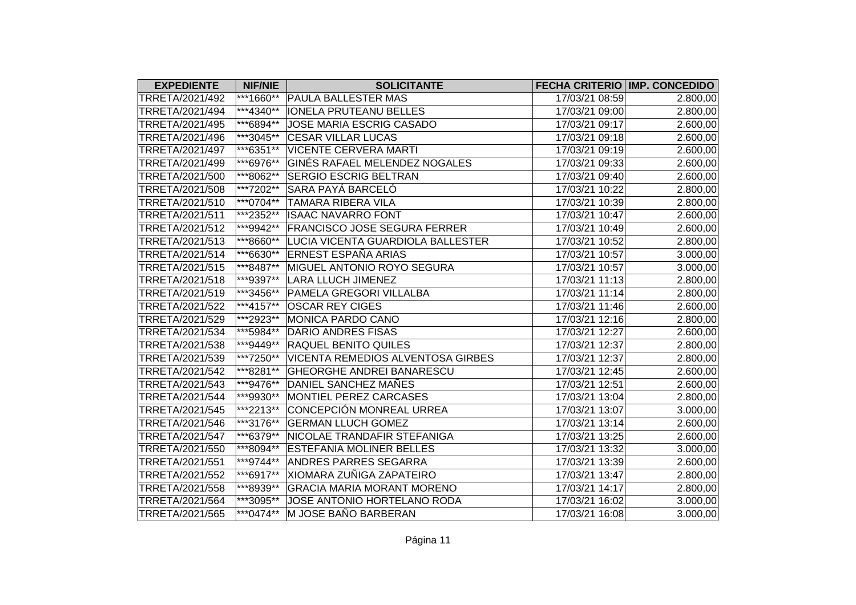| <b>EXPEDIENTE</b> | <b>NIF/NIE</b> | <b>SOLICITANTE</b>                  |                | FECHA CRITERIO IMP. CONCEDIDO |
|-------------------|----------------|-------------------------------------|----------------|-------------------------------|
| TRRETA/2021/492   | ***1660**      | PAULA BALLESTER MAS                 | 17/03/21 08:59 | 2.800,00                      |
| TRRETA/2021/494   | ***4340**      | <b>IONELA PRUTEANU BELLES</b>       | 17/03/21 09:00 | 2.800,00                      |
| TRRETA/2021/495   | ***6894**      | JOSE MARIA ESCRIG CASADO            | 17/03/21 09:17 | 2.600,00                      |
| TRRETA/2021/496   | ***3045**      | <b>CESAR VILLAR LUCAS</b>           | 17/03/21 09:18 | 2.600,00                      |
| TRRETA/2021/497   | ***6351**      | <b>VICENTE CERVERA MARTI</b>        | 17/03/21 09:19 | 2.600,00                      |
| TRRETA/2021/499   | ***6976**      | GINÉS RAFAEL MELENDEZ NOGALES       | 17/03/21 09:33 | 2.600,00                      |
| TRRETA/2021/500   | ***8062**      | <b>SERGIO ESCRIG BELTRAN</b>        | 17/03/21 09:40 | 2.600,00                      |
| TRRETA/2021/508   | ***7202**      | SARA PAYÁ BARCELÓ                   | 17/03/21 10:22 | 2.800,00                      |
| TRRETA/2021/510   | ***0704**      | <b>TAMARA RIBERA VILA</b>           | 17/03/21 10:39 | 2.800,00                      |
| TRRETA/2021/511   | ***2352**      | <b>ISAAC NAVARRO FONT</b>           | 17/03/21 10:47 | 2.600,00                      |
| TRRETA/2021/512   | ***9942**      | <b>FRANCISCO JOSE SEGURA FERRER</b> | 17/03/21 10:49 | 2.600,00                      |
| TRRETA/2021/513   | ***8660**      | LUCIA VICENTA GUARDIOLA BALLESTER   | 17/03/21 10:52 | 2.800,00                      |
| TRRETA/2021/514   | ***6630**      | <b>ERNEST ESPAÑA ARIAS</b>          | 17/03/21 10:57 | 3.000,00                      |
| TRRETA/2021/515   | ***8487**      | MIGUEL ANTONIO ROYO SEGURA          | 17/03/21 10:57 | 3.000,00                      |
| TRRETA/2021/518   | ***9397**      | <b>LARA LLUCH JIMENEZ</b>           | 17/03/21 11:13 | 2.800,00                      |
| TRRETA/2021/519   | ***3456**      | PAMELA GREGORI VILLALBA             | 17/03/21 11:14 | 2.800,00                      |
| TRRETA/2021/522   | ***4157**      | <b>OSCAR REY CIGES</b>              | 17/03/21 11:46 | 2.600,00                      |
| TRRETA/2021/529   | ***2923**      | <b>MONICA PARDO CANO</b>            | 17/03/21 12:16 | 2.800,00                      |
| TRRETA/2021/534   | ***5984**      | <b>DARIO ANDRES FISAS</b>           | 17/03/21 12:27 | 2.600,00                      |
| TRRETA/2021/538   | ***9449**      | <b>RAQUEL BENITO QUILES</b>         | 17/03/21 12:37 | 2.800,00                      |
| TRRETA/2021/539   | ***7250**      | VICENTA REMEDIOS ALVENTOSA GIRBES   | 17/03/21 12:37 | 2.800,00                      |
| TRRETA/2021/542   | ***8281**      | <b>GHEORGHE ANDREI BANARESCU</b>    | 17/03/21 12:45 | 2.600,00                      |
| TRRETA/2021/543   | ***9476**      | DANIEL SANCHEZ MAÑES                | 17/03/21 12:51 | 2.600,00                      |
| TRRETA/2021/544   | ***9930**      | <b>MONTIEL PEREZ CARCASES</b>       | 17/03/21 13:04 | 2.800,00                      |
| TRRETA/2021/545   | ***2213**      | CONCEPCIÓN MONREAL URREA            | 17/03/21 13:07 | 3.000,00                      |
| TRRETA/2021/546   | ***3176**      | <b>GERMAN LLUCH GOMEZ</b>           | 17/03/21 13:14 | 2.600,00                      |
| TRRETA/2021/547   | ***6379**      | NICOLAE TRANDAFIR STEFANIGA         | 17/03/21 13:25 | 2.600,00                      |
| TRRETA/2021/550   | ***8094**      | <b>ESTEFANIA MOLINER BELLES</b>     | 17/03/21 13:32 | 3.000,00                      |
| TRRETA/2021/551   | ***9744**      | <b>ANDRES PARRES SEGARRA</b>        | 17/03/21 13:39 | 2.600,00                      |
| TRRETA/2021/552   | ***6917**      | XIOMARA ZUÑIGA ZAPATEIRO            | 17/03/21 13:47 | 2.800,00                      |
| TRRETA/2021/558   | ***8939**      | <b>GRACIA MARIA MORANT MORENO</b>   | 17/03/21 14:17 | 2.800,00                      |
| TRRETA/2021/564   | ***3095**      | JOSE ANTONIO HORTELANO RODA         | 17/03/21 16:02 | 3.000,00                      |
| TRRETA/2021/565   | ***0474**      | M JOSE BAÑO BARBERAN                | 17/03/21 16:08 | 3.000,00                      |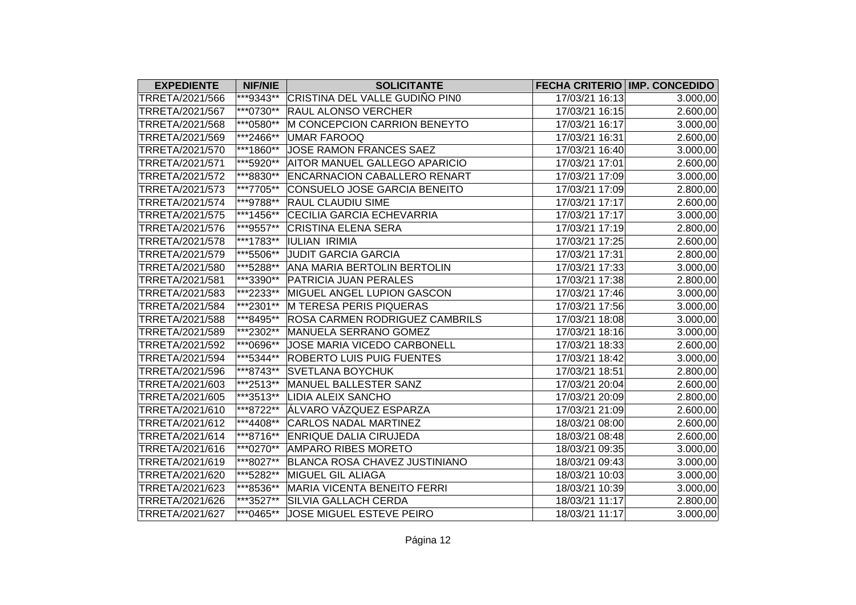| <b>EXPEDIENTE</b> | <b>NIF/NIE</b> | <b>SOLICITANTE</b>                   |                | FECHA CRITERIO IMP. CONCEDIDO |
|-------------------|----------------|--------------------------------------|----------------|-------------------------------|
| TRRETA/2021/566   | ***9343**      | CRISTINA DEL VALLE GUDIÑO PIN0       | 17/03/21 16:13 | 3.000,00                      |
| TRRETA/2021/567   | ***0730**      | <b>RAUL ALONSO VERCHER</b>           | 17/03/21 16:15 | 2.600,00                      |
| TRRETA/2021/568   | ***0580**      | M CONCEPCION CARRION BENEYTO         | 17/03/21 16:17 | 3.000,00                      |
| TRRETA/2021/569   | ***2466**      | <b>UMAR FAROOQ</b>                   | 17/03/21 16:31 | 2.600,00                      |
| TRRETA/2021/570   | ***1860**      | JOSE RAMON FRANCES SAEZ              | 17/03/21 16:40 | 3.000,00                      |
| TRRETA/2021/571   | ***5920**      | AITOR MANUEL GALLEGO APARICIO        | 17/03/21 17:01 | 2.600,00                      |
| TRRETA/2021/572   | ***8830**      | <b>ENCARNACION CABALLERO RENART</b>  | 17/03/21 17:09 | 3.000,00                      |
| TRRETA/2021/573   | ***7705**      | CONSUELO JOSE GARCIA BENEITO         | 17/03/21 17:09 | 2.800,00                      |
| TRRETA/2021/574   | ***9788**      | <b>RAUL CLAUDIU SIME</b>             | 17/03/21 17:17 | 2.600,00                      |
| TRRETA/2021/575   | ***1456**      | CECILIA GARCIA ECHEVARRIA            | 17/03/21 17:17 | 3.000,00                      |
| TRRETA/2021/576   | ***9557**      | <b>CRISTINA ELENA SERA</b>           | 17/03/21 17:19 | 2.800,00                      |
| TRRETA/2021/578   | ***1783**      | <b>IULIAN IRIMIA</b>                 | 17/03/21 17:25 | 2.600,00                      |
| TRRETA/2021/579   | ***5506**      | <b>JUDIT GARCIA GARCIA</b>           | 17/03/21 17:31 | 2.800,00                      |
| TRRETA/2021/580   | ***5288**      | ANA MARIA BERTOLIN BERTOLIN          | 17/03/21 17:33 | 3.000,00                      |
| TRRETA/2021/581   | ***3390**      | <b>PATRICIA JUAN PERALES</b>         | 17/03/21 17:38 | 2.800,00                      |
| TRRETA/2021/583   | ***2233**      | MIGUEL ANGEL LUPION GASCON           | 17/03/21 17:46 | 3.000,00                      |
| TRRETA/2021/584   | ***2301**      | M TERESA PERIS PIQUERAS              | 17/03/21 17:56 | 3.000,00                      |
| TRRETA/2021/588   | ***8495**      | ROSA CARMEN RODRIGUEZ CAMBRILS       | 17/03/21 18:08 | 3.000,00                      |
| TRRETA/2021/589   | ***2302**      | MANUELA SERRANO GOMEZ                | 17/03/21 18:16 | 3.000,00                      |
| TRRETA/2021/592   | ***0696**      | JOSE MARIA VICEDO CARBONELL          | 17/03/21 18:33 | 2.600,00                      |
| TRRETA/2021/594   | ***5344**      | <b>ROBERTO LUIS PUIG FUENTES</b>     | 17/03/21 18:42 | 3.000,00                      |
| TRRETA/2021/596   | ***8743**      | <b>SVETLANA BOYCHUK</b>              | 17/03/21 18:51 | 2.800,00                      |
| TRRETA/2021/603   | ***2513**      | MANUEL BALLESTER SANZ                | 17/03/21 20:04 | 2.600,00                      |
| TRRETA/2021/605   | ***3513**      | <b>LIDIA ALEIX SANCHO</b>            | 17/03/21 20:09 | 2.800,00                      |
| TRRETA/2021/610   | ***8722**      | ÁLVARO VÁZQUEZ ESPARZA               | 17/03/21 21:09 | 2.600,00                      |
| TRRETA/2021/612   | ***4408**      | CARLOS NADAL MARTINEZ                | 18/03/21 08:00 | 2.600,00                      |
| TRRETA/2021/614   | ***8716**      | ENRIQUE DALIA CIRUJEDA               | 18/03/21 08:48 | 2.600,00                      |
| TRRETA/2021/616   | ***0270**      | <b>AMPARO RIBES MORETO</b>           | 18/03/21 09:35 | 3.000,00                      |
| TRRETA/2021/619   | ***8027**      | <b>BLANCA ROSA CHAVEZ JUSTINIANO</b> | 18/03/21 09:43 | 3.000,00                      |
| TRRETA/2021/620   | ***5282**      | <b>MIGUEL GIL ALIAGA</b>             | 18/03/21 10:03 | 3.000,00                      |
| TRRETA/2021/623   | ***8536**      | <b>MARIA VICENTA BENEITO FERRI</b>   | 18/03/21 10:39 | 3.000,00                      |
| TRRETA/2021/626   | ***3527**      | SILVIA GALLACH CERDA                 | 18/03/21 11:17 | 2.800,00                      |
| TRRETA/2021/627   | ***0465**      | JOSE MIGUEL ESTEVE PEIRO             | 18/03/21 11:17 | 3.000,00                      |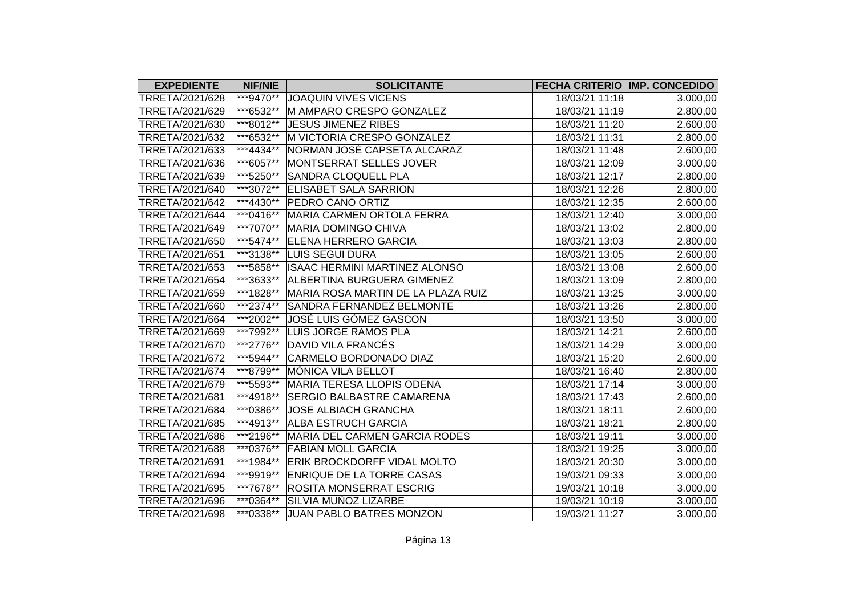| <b>EXPEDIENTE</b> | <b>NIF/NIE</b> | <b>SOLICITANTE</b>                 |                | <b>FECHA CRITERIO IMP. CONCEDIDO</b> |
|-------------------|----------------|------------------------------------|----------------|--------------------------------------|
| TRRETA/2021/628   | ***9470**      | JOAQUIN VIVES VICENS               | 18/03/21 11:18 | 3.000,00                             |
| TRRETA/2021/629   | ***6532**      | M AMPARO CRESPO GONZALEZ           | 18/03/21 11:19 | 2.800,00                             |
| TRRETA/2021/630   | ***8012**      | <b>JESUS JIMENEZ RIBES</b>         | 18/03/21 11:20 | 2.600,00                             |
| TRRETA/2021/632   | ***6532**      | M VICTORIA CRESPO GONZALEZ         | 18/03/21 11:31 | 2.800,00                             |
| TRRETA/2021/633   | ***4434**      | NORMAN JOSÉ CAPSETA ALCARAZ        | 18/03/21 11:48 | 2.600,00                             |
| TRRETA/2021/636   | ***6057**      | MONTSERRAT SELLES JOVER            | 18/03/21 12:09 | 3.000,00                             |
| TRRETA/2021/639   | ***5250**      | SANDRA CLOQUELL PLA                | 18/03/21 12:17 | 2.800,00                             |
| TRRETA/2021/640   | ***3072**      | <b>ELISABET SALA SARRION</b>       | 18/03/21 12:26 | 2.800,00                             |
| TRRETA/2021/642   | ***4430**      | PEDRO CANO ORTIZ                   | 18/03/21 12:35 | 2.600,00                             |
| TRRETA/2021/644   | ***0416**      | <b>MARIA CARMEN ORTOLA FERRA</b>   | 18/03/21 12:40 | 3.000,00                             |
| TRRETA/2021/649   | ***7070**      | <b>MARIA DOMINGO CHIVA</b>         | 18/03/21 13:02 | 2.800,00                             |
| TRRETA/2021/650   | ***5474**      | <b>ELENA HERRERO GARCIA</b>        | 18/03/21 13:03 | 2.800,00                             |
| TRRETA/2021/651   | ***3138**      | LUIS SEGUI DURA                    | 18/03/21 13:05 | 2.600,00                             |
| TRRETA/2021/653   | ***5858**      | ISAAC HERMINI MARTINEZ ALONSO      | 18/03/21 13:08 | 2.600,00                             |
| TRRETA/2021/654   | ***3633**      | ALBERTINA BURGUERA GIMENEZ         | 18/03/21 13:09 | 2.800,00                             |
| TRRETA/2021/659   | ***1828**      | MARIA ROSA MARTIN DE LA PLAZA RUIZ | 18/03/21 13:25 | 3.000,00                             |
| TRRETA/2021/660   | ***2374**      | SANDRA FERNANDEZ BELMONTE          | 18/03/21 13:26 | 2.800,00                             |
| TRRETA/2021/664   | ***2002**      | JOSÉ LUIS GÓMEZ GASCON             | 18/03/21 13:50 | 3.000,00                             |
| TRRETA/2021/669   | ***7992**      | LUIS JORGE RAMOS PLA               | 18/03/21 14:21 | 2.600,00                             |
| TRRETA/2021/670   | ***2776**      | DAVID VILA FRANCÉS                 | 18/03/21 14:29 | 3.000,00                             |
| TRRETA/2021/672   | ***5944**      | CARMELO BORDONADO DIAZ             | 18/03/21 15:20 | 2.600,00                             |
| TRRETA/2021/674   | ***8799**      | MÓNICA VILA BELLOT                 | 18/03/21 16:40 | 2.800,00                             |
| TRRETA/2021/679   | ***5593**      | <b>MARIA TERESA LLOPIS ODENA</b>   | 18/03/21 17:14 | 3.000,00                             |
| TRRETA/2021/681   | ***4918**      | <b>SERGIO BALBASTRE CAMARENA</b>   | 18/03/21 17:43 | 2.600,00                             |
| TRRETA/2021/684   | ***0386**      | <b>JOSE ALBIACH GRANCHA</b>        | 18/03/21 18:11 | 2.600,00                             |
| TRRETA/2021/685   | ***4913**      | <b>ALBA ESTRUCH GARCIA</b>         | 18/03/21 18:21 | 2.800,00                             |
| TRRETA/2021/686   | ***2196**      | MARIA DEL CARMEN GARCIA RODES      | 18/03/21 19:11 | 3.000,00                             |
| TRRETA/2021/688   | ***0376**      | <b>FABIAN MOLL GARCIA</b>          | 18/03/21 19:25 | 3.000,00                             |
| TRRETA/2021/691   | ***1984**      | <b>ERIK BROCKDORFF VIDAL MOLTO</b> | 18/03/21 20:30 | 3.000,00                             |
| TRRETA/2021/694   | ***9919**      | ENRIQUE DE LA TORRE CASAS          | 19/03/21 09:33 | 3.000,00                             |
| TRRETA/2021/695   | ***7678**      | <b>ROSITA MONSERRAT ESCRIG</b>     | 19/03/21 10:18 | 3.000,00                             |
| TRRETA/2021/696   | ***0364**      | SILVIA MUÑOZ LIZARBE               | 19/03/21 10:19 | 3.000,00                             |
| TRRETA/2021/698   | ***0338**      | JUAN PABLO BATRES MONZON           | 19/03/21 11:27 | 3.000,00                             |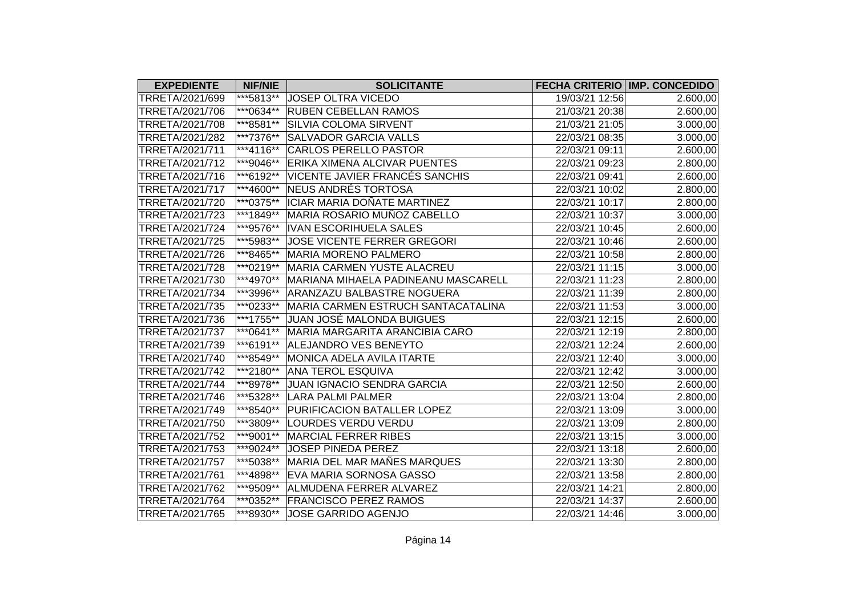| <b>EXPEDIENTE</b> | <b>NIF/NIE</b> | <b>SOLICITANTE</b>                    |                | FECHA CRITERIO IMP. CONCEDIDO |
|-------------------|----------------|---------------------------------------|----------------|-------------------------------|
| TRRETA/2021/699   | ***5813**      | JOSEP OLTRA VICEDO                    | 19/03/21 12:56 | 2.600,00                      |
| TRRETA/2021/706   | ***0634**      | <b>RUBEN CEBELLAN RAMOS</b>           | 21/03/21 20:38 | 2.600,00                      |
| TRRETA/2021/708   | ***8581**      | <b>SILVIA COLOMA SIRVENT</b>          | 21/03/21 21:05 | 3.000,00                      |
| TRRETA/2021/282   | ***7376**      | <b>SALVADOR GARCIA VALLS</b>          | 22/03/21 08:35 | 3.000,00                      |
| TRRETA/2021/711   | ***4116**      | <b>CARLOS PERELLO PASTOR</b>          | 22/03/21 09:11 | 2.600,00                      |
| TRRETA/2021/712   | ***9046**      | ERIKA XIMENA ALCIVAR PUENTES          | 22/03/21 09:23 | 2.800,00                      |
| TRRETA/2021/716   | ***6192**      | VICENTE JAVIER FRANCÉS SANCHIS        | 22/03/21 09:41 | 2.600,00                      |
| TRRETA/2021/717   | ***4600**      | NEUS ANDRÉS TORTOSA                   | 22/03/21 10:02 | 2.800,00                      |
| TRRETA/2021/720   | ***0375**      | ICIAR MARIA DOÑATE MARTINEZ           | 22/03/21 10:17 | 2.800,00                      |
| TRRETA/2021/723   | ***1849**      | MARIA ROSARIO MUÑOZ CABELLO           | 22/03/21 10:37 | 3.000,00                      |
| TRRETA/2021/724   | ***9576**      | <b>IVAN ESCORIHUELA SALES</b>         | 22/03/21 10:45 | 2.600,00                      |
| TRRETA/2021/725   | ***5983**      | JOSE VICENTE FERRER GREGORI           | 22/03/21 10:46 | 2.600,00                      |
| TRRETA/2021/726   | ***8465**      | <b>MARIA MORENO PALMERO</b>           | 22/03/21 10:58 | 2.800,00                      |
| TRRETA/2021/728   | ***0219**      | <b>MARIA CARMEN YUSTE ALACREU</b>     | 22/03/21 11:15 | 3.000,00                      |
| TRRETA/2021/730   | ***4970**      | MARIANA MIHAELA PADINEANU MASCARELL   | 22/03/21 11:23 | 2.800,00                      |
| TRRETA/2021/734   | ***3996**      | ARANZAZU BALBASTRE NOGUERA            | 22/03/21 11:39 | 2.800,00                      |
| TRRETA/2021/735   | ***0233**      | MARIA CARMEN ESTRUCH SANTACATALINA    | 22/03/21 11:53 | 3.000,00                      |
| TRRETA/2021/736   | ***1755**      | JUAN JOSÉ MALONDA BUIGUES             | 22/03/21 12:15 | 2.600,00                      |
| TRRETA/2021/737   | ***0641**      | <b>MARIA MARGARITA ARANCIBIA CARO</b> | 22/03/21 12:19 | 2.800,00                      |
| TRRETA/2021/739   | ***6191**      | ALEJANDRO VES BENEYTO                 | 22/03/21 12:24 | 2.600,00                      |
| TRRETA/2021/740   | ***8549**      | MONICA ADELA AVILA ITARTE             | 22/03/21 12:40 | 3.000,00                      |
| TRRETA/2021/742   | ***2180**      | <b>ANA TEROL ESQUIVA</b>              | 22/03/21 12:42 | 3.000,00                      |
| TRRETA/2021/744   | ***8978**      | JUAN IGNACIO SENDRA GARCIA            | 22/03/21 12:50 | 2.600,00                      |
| TRRETA/2021/746   | ***5328**      | <b>LARA PALMI PALMER</b>              | 22/03/21 13:04 | 2.800,00                      |
| TRRETA/2021/749   | ***8540**      | PURIFICACION BATALLER LOPEZ           | 22/03/21 13:09 | 3.000,00                      |
| TRRETA/2021/750   | ***3809**      | LOURDES VERDU VERDU                   | 22/03/21 13:09 | 2.800,00                      |
| TRRETA/2021/752   | ***9001**      | <b>MARCIAL FERRER RIBES</b>           | 22/03/21 13:15 | 3.000,00                      |
| TRRETA/2021/753   | ***9024**      | JOSEP PINEDA PEREZ                    | 22/03/21 13:18 | 2.600,00                      |
| TRRETA/2021/757   | ***5038**      | MARIA DEL MAR MAÑES MARQUES           | 22/03/21 13:30 | 2.800,00                      |
| TRRETA/2021/761   | ***4898**      | EVA MARIA SORNOSA GASSO               | 22/03/21 13:58 | 2.800,00                      |
| TRRETA/2021/762   | ***9509**      | ALMUDENA FERRER ALVAREZ               | 22/03/21 14:21 | 2.800,00                      |
| TRRETA/2021/764   | ***0352**      | <b>FRANCISCO PEREZ RAMOS</b>          | 22/03/21 14:37 | 2.600,00                      |
| TRRETA/2021/765   | ***8930**      | JOSE GARRIDO AGENJO                   | 22/03/21 14:46 | 3.000,00                      |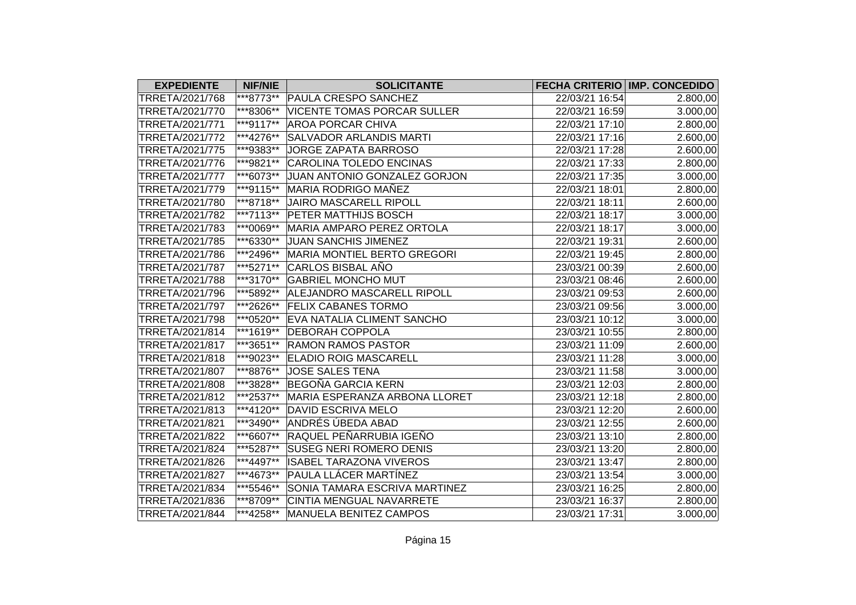| <b>EXPEDIENTE</b> | <b>NIF/NIE</b> | <b>SOLICITANTE</b>                 |                | <b>FECHA CRITERIO IMP. CONCEDIDO</b> |
|-------------------|----------------|------------------------------------|----------------|--------------------------------------|
| TRRETA/2021/768   | ***8773**      | <b>PAULA CRESPO SANCHEZ</b>        | 22/03/21 16:54 | 2.800,00                             |
| TRRETA/2021/770   | ***8306**      | <b>VICENTE TOMAS PORCAR SULLER</b> | 22/03/21 16:59 | 3.000,00                             |
| TRRETA/2021/771   | ***9117**      | <b>AROA PORCAR CHIVA</b>           | 22/03/21 17:10 | 2.800,00                             |
| TRRETA/2021/772   | ***4276**      | <b>SALVADOR ARLANDIS MARTI</b>     | 22/03/21 17:16 | 2.600,00                             |
| TRRETA/2021/775   | ***9383**      | JORGE ZAPATA BARROSO               | 22/03/21 17:28 | 2.600,00                             |
| TRRETA/2021/776   | ***9821**      | <b>CAROLINA TOLEDO ENCINAS</b>     | 22/03/21 17:33 | 2.800,00                             |
| TRRETA/2021/777   | ***6073**      | JUAN ANTONIO GONZALEZ GORJON       | 22/03/21 17:35 | 3.000,00                             |
| TRRETA/2021/779   | ***9115**      | MARIA RODRIGO MAÑEZ                | 22/03/21 18:01 | 2.800,00                             |
| TRRETA/2021/780   | ***8718**      | <b>JAIRO MASCARELL RIPOLL</b>      | 22/03/21 18:11 | 2.600,00                             |
| TRRETA/2021/782   | ***7113**      | <b>PETER MATTHIJS BOSCH</b>        | 22/03/21 18:17 | 3.000,00                             |
| TRRETA/2021/783   | ***0069**      | MARIA AMPARO PEREZ ORTOLA          | 22/03/21 18:17 | 3.000,00                             |
| TRRETA/2021/785   | ***6330**      | <b>JUAN SANCHIS JIMENEZ</b>        | 22/03/21 19:31 | 2.600,00                             |
| TRRETA/2021/786   | ***2496**      | MARIA MONTIEL BERTO GREGORI        | 22/03/21 19:45 | 2.800,00                             |
| TRRETA/2021/787   | ***5271**      | CARLOS BISBAL AÑO                  | 23/03/21 00:39 | 2.600,00                             |
| TRRETA/2021/788   | ***3170**      | <b>GABRIEL MONCHO MUT</b>          | 23/03/21 08:46 | 2.600,00                             |
| TRRETA/2021/796   | ***5892**      | ALEJANDRO MASCARELL RIPOLL         | 23/03/21 09:53 | 2.600,00                             |
| TRRETA/2021/797   | ***2626**      | <b>FELIX CABANES TORMO</b>         | 23/03/21 09:56 | 3.000,00                             |
| TRRETA/2021/798   | ***0520**      | <b>EVA NATALIA CLIMENT SANCHO</b>  | 23/03/21 10:12 | 3.000,00                             |
| TRRETA/2021/814   | ***1619**      | <b>DEBORAH COPPOLA</b>             | 23/03/21 10:55 | 2.800,00                             |
| TRRETA/2021/817   | ***3651**      | <b>RAMON RAMOS PASTOR</b>          | 23/03/21 11:09 | 2.600,00                             |
| TRRETA/2021/818   | ***9023**      | <b>ELADIO ROIG MASCARELL</b>       | 23/03/21 11:28 | 3.000,00                             |
| TRRETA/2021/807   | ***8876**      | <b>JOSE SALES TENA</b>             | 23/03/21 11:58 | 3.000,00                             |
| TRRETA/2021/808   | ***3828**      | <b>BEGOÑA GARCIA KERN</b>          | 23/03/21 12:03 | 2.800,00                             |
| TRRETA/2021/812   | ***2537**      | MARIA ESPERANZA ARBONA LLORET      | 23/03/21 12:18 | 2.800,00                             |
| TRRETA/2021/813   | ***4120**      | <b>DAVID ESCRIVA MELO</b>          | 23/03/21 12:20 | 2.600,00                             |
| TRRETA/2021/821   | ***3490**      | ANDRÉS ÚBEDA ABAD                  | 23/03/21 12:55 | 2.600,00                             |
| TRRETA/2021/822   | ***6607**      | RAQUEL PEÑARRUBIA IGEÑO            | 23/03/21 13:10 | 2.800,00                             |
| TRRETA/2021/824   | ***5287**      | <b>SUSEG NERI ROMERO DENIS</b>     | 23/03/21 13:20 | 2.800,00                             |
| TRRETA/2021/826   | ***4497**      | <b>ISABEL TARAZONA VIVEROS</b>     | 23/03/21 13:47 | 2.800,00                             |
| TRRETA/2021/827   | ***4673**      | <b>PAULA LLÁCER MARTÍNEZ</b>       | 23/03/21 13:54 | 3.000,00                             |
| TRRETA/2021/834   | ***5546**      | SONIA TAMARA ESCRIVA MARTINEZ      | 23/03/21 16:25 | 2.800,00                             |
| TRRETA/2021/836   | ***8709**      | CINTIA MENGUAL NAVARRETE           | 23/03/21 16:37 | 2.800,00                             |
| TRRETA/2021/844   | ***4258**      | MANUELA BENITEZ CAMPOS             | 23/03/21 17:31 | 3.000,00                             |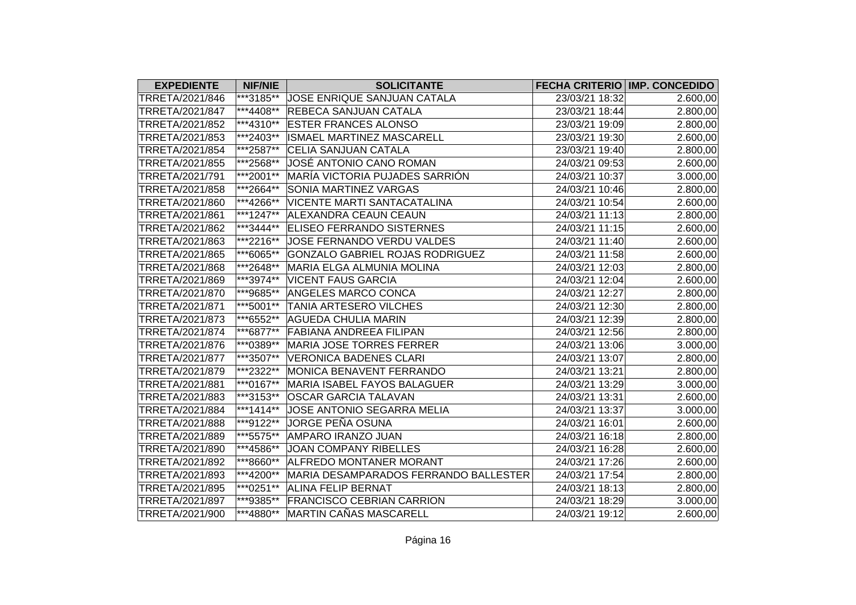| <b>EXPEDIENTE</b> | <b>NIF/NIE</b> | <b>SOLICITANTE</b>                     |                | FECHA CRITERIO IMP. CONCEDIDO |
|-------------------|----------------|----------------------------------------|----------------|-------------------------------|
| TRRETA/2021/846   | ***3185**      | JOSE ENRIQUE SANJUAN CATALA            | 23/03/21 18:32 | 2.600,00                      |
| TRRETA/2021/847   | ***4408**      | REBECA SANJUAN CATALA                  | 23/03/21 18:44 | 2.800,00                      |
| TRRETA/2021/852   | ***4310**      | <b>ESTER FRANCES ALONSO</b>            | 23/03/21 19:09 | 2.800,00                      |
| TRRETA/2021/853   | ***2403**      | ISMAEL MARTINEZ MASCARELL              | 23/03/21 19:30 | 2.600,00                      |
| TRRETA/2021/854   | ***2587**      | CELIA SANJUAN CATALA                   | 23/03/21 19:40 | 2.800,00                      |
| TRRETA/2021/855   | ***2568**      | JOSÉ ANTONIO CANO ROMAN                | 24/03/21 09:53 | 2.600,00                      |
| TRRETA/2021/791   | ***2001**      | MARÍA VICTORIA PUJADES SARRIÓN         | 24/03/21 10:37 | 3.000,00                      |
| TRRETA/2021/858   | ***2664**      | SONIA MARTINEZ VARGAS                  | 24/03/21 10:46 | 2.800,00                      |
| TRRETA/2021/860   | ***4266**      | <b>VICENTE MARTI SANTACATALINA</b>     | 24/03/21 10:54 | 2.600,00                      |
| TRRETA/2021/861   | ***1247**      | ALEXANDRA CEAUN CEAUN                  | 24/03/21 11:13 | 2.800,00                      |
| TRRETA/2021/862   | ***3444**      | <b>ELISEO FERRANDO SISTERNES</b>       | 24/03/21 11:15 | 2.600,00                      |
| TRRETA/2021/863   | ***2216**      | JOSE FERNANDO VERDU VALDES             | 24/03/21 11:40 | 2.600,00                      |
| TRRETA/2021/865   | ***6065**      | <b>GONZALO GABRIEL ROJAS RODRIGUEZ</b> | 24/03/21 11:58 | 2.600,00                      |
| TRRETA/2021/868   | ***2648**      | <b>MARIA ELGA ALMUNIA MOLINA</b>       | 24/03/21 12:03 | 2.800,00                      |
| TRRETA/2021/869   | ***3974**      | <b>VICENT FAUS GARCIA</b>              | 24/03/21 12:04 | 2.600,00                      |
| TRRETA/2021/870   | ***9685**      | <b>ANGELES MARCO CONCA</b>             | 24/03/21 12:27 | 2.800,00                      |
| TRRETA/2021/871   | ***5001**      | <b>TANIA ARTESERO VILCHES</b>          | 24/03/21 12:30 | 2.800,00                      |
| TRRETA/2021/873   | ***6552**      | <b>AGUEDA CHULIA MARIN</b>             | 24/03/21 12:39 | 2.800,00                      |
| TRRETA/2021/874   | ***6877**      | <b>FABIANA ANDREEA FILIPAN</b>         | 24/03/21 12:56 | 2.800,00                      |
| TRRETA/2021/876   | ***0389**      | <b>MARIA JOSE TORRES FERRER</b>        | 24/03/21 13:06 | 3.000,00                      |
| TRRETA/2021/877   | ***3507**      | <b>VERONICA BADENES CLARI</b>          | 24/03/21 13:07 | 2.800,00                      |
| TRRETA/2021/879   | ***2322**      | MONICA BENAVENT FERRANDO               | 24/03/21 13:21 | 2.800,00                      |
| TRRETA/2021/881   | ***0167**      | MARIA ISABEL FAYOS BALAGUER            | 24/03/21 13:29 | 3.000,00                      |
| TRRETA/2021/883   | ***3153**      | <b>OSCAR GARCIA TALAVAN</b>            | 24/03/21 13:31 | 2.600,00                      |
| TRRETA/2021/884   | $***1414**$    | JOSE ANTONIO SEGARRA MELIA             | 24/03/21 13:37 | 3.000,00                      |
| TRRETA/2021/888   | ***9122**      | JORGE PEÑA OSUNA                       | 24/03/21 16:01 | 2.600,00                      |
| TRRETA/2021/889   | ***5575**      | AMPARO IRANZO JUAN                     | 24/03/21 16:18 | 2.800,00                      |
| TRRETA/2021/890   | ***4586**      | JOAN COMPANY RIBELLES                  | 24/03/21 16:28 | 2.600,00                      |
| TRRETA/2021/892   | ***8660**      | <b>ALFREDO MONTANER MORANT</b>         | 24/03/21 17:26 | 2.600,00                      |
| TRRETA/2021/893   | ***4200**      | MARIA DESAMPARADOS FERRANDO BALLESTER  | 24/03/21 17:54 | 2.800,00                      |
| TRRETA/2021/895   | ***0251**      | <b>ALINA FELIP BERNAT</b>              | 24/03/21 18:13 | 2.800,00                      |
| TRRETA/2021/897   | ***9385**      | <b>FRANCISCO CEBRIAN CARRION</b>       | 24/03/21 18:29 | 3.000,00                      |
| TRRETA/2021/900   | ***4880**      | MARTIN CAÑAS MASCARELL                 | 24/03/21 19:12 | 2.600,00                      |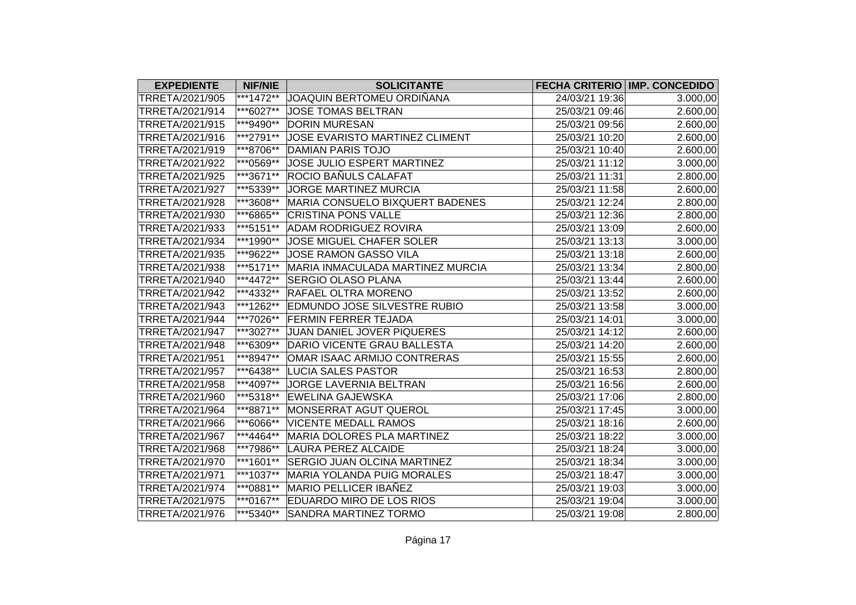| <b>EXPEDIENTE</b> | <b>NIF/NIE</b>            | <b>SOLICITANTE</b>                  |                | FECHA CRITERIO IMP. CONCEDIDO |
|-------------------|---------------------------|-------------------------------------|----------------|-------------------------------|
| TRRETA/2021/905   | ***1472**                 | JOAQUIN BERTOMEU ORDIÑANA           | 24/03/21 19:36 | 3.000,00                      |
| TRRETA/2021/914   | ***6027**                 | JOSE TOMAS BELTRAN                  | 25/03/21 09:46 | 2.600,00                      |
| TRRETA/2021/915   | ***9490**                 | <b>DORIN MURESAN</b>                | 25/03/21 09:56 | 2.600,00                      |
| TRRETA/2021/916   | ***2791**                 | JOSE EVARISTO MARTINEZ CLIMENT      | 25/03/21 10:20 | 2.600,00                      |
| TRRETA/2021/919   | ***8706**                 | <b>DAMIAN PARIS TOJO</b>            | 25/03/21 10:40 | 2.600,00                      |
| TRRETA/2021/922   | ***0569**                 | JOSE JULIO ESPERT MARTINEZ          | 25/03/21 11:12 | 3.000,00                      |
| TRRETA/2021/925   | $\overline{***3671^{**}}$ | ROCIO BAÑULS CALAFAT                | 25/03/21 11:31 | 2.800,00                      |
| TRRETA/2021/927   | ***5339**                 | JORGE MARTINEZ MURCIA               | 25/03/21 11:58 | 2.600,00                      |
| TRRETA/2021/928   | ***3608**                 | MARIA CONSUELO BIXQUERT BADENES     | 25/03/21 12:24 | 2.800,00                      |
| TRRETA/2021/930   | ***6865**                 | <b>CRISTINA PONS VALLE</b>          | 25/03/21 12:36 | 2.800,00                      |
| TRRETA/2021/933   | ***5151**                 | <b>ADAM RODRIGUEZ ROVIRA</b>        | 25/03/21 13:09 | 2.600,00                      |
| TRRETA/2021/934   | ***1990**                 | JOSE MIGUEL CHAFER SOLER            | 25/03/21 13:13 | 3.000,00                      |
| TRRETA/2021/935   | ***9622**                 | JOSE RAMON GASSO VILA               | 25/03/21 13:18 | 2.600,00                      |
| TRRETA/2021/938   | ***5171**                 | MARIA INMACULADA MARTINEZ MURCIA    | 25/03/21 13:34 | 2.800,00                      |
| TRRETA/2021/940   | ***4472**                 | <b>SERGIO OLASO PLANA</b>           | 25/03/21 13:44 | 2.600,00                      |
| TRRETA/2021/942   | ***4332**                 | <b>RAFAEL OLTRA MORENO</b>          | 25/03/21 13:52 | 2.600,00                      |
| TRRETA/2021/943   | ***1262**                 | <b>EDMUNDO JOSE SILVESTRE RUBIO</b> | 25/03/21 13:58 | 3.000,00                      |
| TRRETA/2021/944   | ***7026**                 | <b>FERMIN FERRER TEJADA</b>         | 25/03/21 14:01 | 3.000,00                      |
| TRRETA/2021/947   | ***3027**                 | JUAN DANIEL JOVER PIQUERES          | 25/03/21 14:12 | 2.600,00                      |
| TRRETA/2021/948   | ***6309**                 | DARIO VICENTE GRAU BALLESTA         | 25/03/21 14:20 | 2.600,00                      |
| TRRETA/2021/951   | ***8947**                 | OMAR ISAAC ARMIJO CONTRERAS         | 25/03/21 15:55 | 2.600,00                      |
| TRRETA/2021/957   | ***6438**                 | <b>LUCIA SALES PASTOR</b>           | 25/03/21 16:53 | 2.800,00                      |
| TRRETA/2021/958   | ***4097**                 | JORGE LAVERNIA BELTRAN              | 25/03/21 16:56 | 2.600,00                      |
| TRRETA/2021/960   | ***5318**                 | <b>EWELINA GAJEWSKA</b>             | 25/03/21 17:06 | 2.800,00                      |
| TRRETA/2021/964   | ***8871**                 | MONSERRAT AGUT QUEROL               | 25/03/21 17:45 | 3.000,00                      |
| TRRETA/2021/966   | ***6066**                 | <b>VICENTE MEDALL RAMOS</b>         | 25/03/21 18:16 | 2.600,00                      |
| TRRETA/2021/967   | ***4464**                 | MARIA DOLORES PLA MARTINEZ          | 25/03/21 18:22 | 3.000,00                      |
| TRRETA/2021/968   | ***7986**                 | <b>LAURA PEREZ ALCAIDE</b>          | 25/03/21 18:24 | 3.000,00                      |
| TRRETA/2021/970   | ***1601**                 | <b>SERGIO JUAN OLCINA MARTINEZ</b>  | 25/03/21 18:34 | 3.000,00                      |
| TRRETA/2021/971   | ***1037**                 | MARIA YOLANDA PUIG MORALES          | 25/03/21 18:47 | 3.000,00                      |
| TRRETA/2021/974   | ***0881**                 | <b>MARIO PELLICER IBAÑEZ</b>        | 25/03/21 19:03 | 3.000,00                      |
| TRRETA/2021/975   | ***0167**                 | EDUARDO MIRO DE LOS RIOS            | 25/03/21 19:04 | 3.000,00                      |
| TRRETA/2021/976   | ***5340**                 | <b>SANDRA MARTINEZ TORMO</b>        | 25/03/21 19:08 | 2.800,00                      |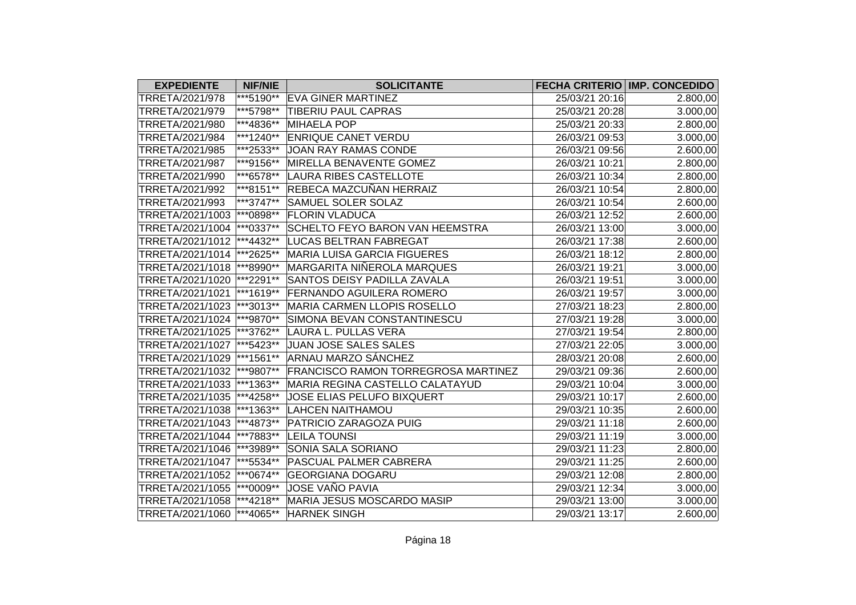| <b>EXPEDIENTE</b>           | <b>NIF/NIE</b> | <b>SOLICITANTE</b>                         |                | <b>FECHA CRITERIO IMP. CONCEDIDO</b> |
|-----------------------------|----------------|--------------------------------------------|----------------|--------------------------------------|
| TRRETA/2021/978             | ***5190**      | <b>EVA GINER MARTINEZ</b>                  | 25/03/21 20:16 | 2.800,00                             |
| TRRETA/2021/979             | ***5798**      | TIBERIU PAUL CAPRAS                        | 25/03/21 20:28 | 3.000,00                             |
| TRRETA/2021/980             | ***4836**      | MIHAELA POP                                | 25/03/21 20:33 | 2.800,00                             |
| TRRETA/2021/984             | ***1240**      | <b>ENRIQUE CANET VERDU</b>                 | 26/03/21 09:53 | 3.000,00                             |
| TRRETA/2021/985             | ***2533**      | JOAN RAY RAMAS CONDE                       | 26/03/21 09:56 | 2.600,00                             |
| TRRETA/2021/987             | ***9156**      | MIRELLA BENAVENTE GOMEZ                    | 26/03/21 10:21 | 2.800,00                             |
| TRRETA/2021/990             | ***6578**      | <b>LAURA RIBES CASTELLOTE</b>              | 26/03/21 10:34 | 2.800,00                             |
| TRRETA/2021/992             | ***8151**      | REBECA MAZCUÑAN HERRAIZ                    | 26/03/21 10:54 | 2.800,00                             |
| TRRETA/2021/993             | ***3747**      | <b>SAMUEL SOLER SOLAZ</b>                  | 26/03/21 10:54 | 2.600,00                             |
| TRRETA/2021/1003            | ***0898**      | <b>FLORIN VLADUCA</b>                      | 26/03/21 12:52 | 2.600,00                             |
| TRRETA/2021/1004            | $ ***0337**$   | SCHELTO FEYO BARON VAN HEEMSTRA            | 26/03/21 13:00 | 3.000,00                             |
| TRRETA/2021/1012            | ***4432**      | LUCAS BELTRAN FABREGAT                     | 26/03/21 17:38 | 2.600,00                             |
| TRRETA/2021/1014  ***2625** |                | <b>MARIA LUISA GARCIA FIGUERES</b>         | 26/03/21 18:12 | 2.800,00                             |
| TRRETA/2021/1018  ***8990** |                | <b>MARGARITA NIÑEROLA MARQUES</b>          | 26/03/21 19:21 | 3.000,00                             |
| TRRETA/2021/1020            | ***2291**      | SANTOS DEISY PADILLA ZAVALA                | 26/03/21 19:51 | 3.000,00                             |
| TRRETA/2021/1021            | ***1619**      | <b>FERNANDO AGUILERA ROMERO</b>            | 26/03/21 19:57 | 3.000,00                             |
| TRRETA/2021/1023            | $ ***3013**$   | MARIA CARMEN LLOPIS ROSELLO                | 27/03/21 18:23 | 2.800,00                             |
| TRRETA/2021/1024  ***9870** |                | SIMONA BEVAN CONSTANTINESCU                | 27/03/21 19:28 | 3.000,00                             |
| TRRETA/2021/1025  ***3762** |                | LAURA L. PULLAS VERA                       | 27/03/21 19:54 | 2.800,00                             |
| TRRETA/2021/1027            | ***5423**      | JUAN JOSE SALES SALES                      | 27/03/21 22:05 | 3.000,00                             |
| TRRETA/2021/1029  ***1561** |                | ARNAU MARZO SÁNCHEZ                        | 28/03/21 20:08 | 2.600,00                             |
| TRRETA/2021/1032            | ***9807**      | <b>FRANCISCO RAMON TORREGROSA MARTINEZ</b> | 29/03/21 09:36 | 2.600,00                             |
| TRRETA/2021/1033  ***1363** |                | MARIA REGINA CASTELLO CALATAYUD            | 29/03/21 10:04 | 3.000,00                             |
| TRRETA/2021/1035  ***4258** |                | JOSE ELIAS PELUFO BIXQUERT                 | 29/03/21 10:17 | 2.600,00                             |
| TRRETA/2021/1038            | $**1363**$     | <b>LAHCEN NAITHAMOU</b>                    | 29/03/21 10:35 | 2.600,00                             |
| TRRETA/2021/1043            | ***4873**      | PATRICIO ZARAGOZA PUIG                     | 29/03/21 11:18 | 2.600,00                             |
| TRRETA/2021/1044            | ***7883**      | <b>LEILA TOUNSI</b>                        | 29/03/21 11:19 | 3.000,00                             |
| TRRETA/2021/1046  ***3989** |                | <b>SONIA SALA SORIANO</b>                  | 29/03/21 11:23 | 2.800,00                             |
| TRRETA/2021/1047  ***5534** |                | <b>PASCUAL PALMER CABRERA</b>              | 29/03/21 11:25 | 2.600,00                             |
| TRRETA/2021/1052            | $ ***0674**$   | <b>GEORGIANA DOGARU</b>                    | 29/03/21 12:08 | 2.800,00                             |
| TRRETA/2021/1055            | $ ***0009**$   | JOSE VAÑO PAVIA                            | 29/03/21 12:34 | 3.000,00                             |
| TRRETA/2021/1058            | ***4218**      | <b>MARIA JESUS MOSCARDO MASIP</b>          | 29/03/21 13:00 | 3.000,00                             |
| TRRETA/2021/1060 ***4065**  |                | <b>HARNEK SINGH</b>                        | 29/03/21 13:17 | 2.600,00                             |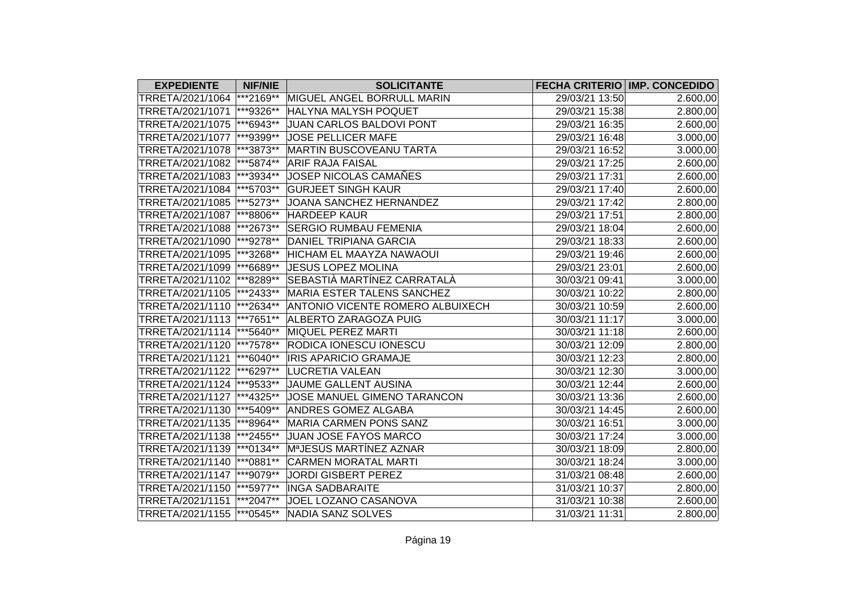| <b>EXPEDIENTE</b>           | <b>NIF/NIE</b> | <b>SOLICITANTE</b>                      |                | FECHA CRITERIO IMP. CONCEDIDO |
|-----------------------------|----------------|-----------------------------------------|----------------|-------------------------------|
| TRRETA/2021/1064  ***2169** |                | MIGUEL ANGEL BORRULL MARIN              | 29/03/21 13:50 | 2.600,00                      |
| TRRETA/2021/1071  ***9326** |                | HALYNA MALYSH POQUET                    | 29/03/21 15:38 | 2.800,00                      |
| TRRETA/2021/1075  ***6943** |                | JUAN CARLOS BALDOVI PONT                | 29/03/21 16:35 | 2.600,00                      |
| TRRETA/2021/1077  ***9399** |                | JOSE PELLICER MAFE                      | 29/03/21 16:48 | 3.000,00                      |
| TRRETA/2021/1078  ***3873** |                | <b>MARTIN BUSCOVEANU TARTA</b>          | 29/03/21 16:52 | 3.000,00                      |
| TRRETA/2021/1082  ***5874** |                | <b>ARIF RAJA FAISAL</b>                 | 29/03/21 17:25 | 2.600,00                      |
| TRRETA/2021/1083  ***3934** |                | JOSEP NICOLAS CAMAÑES                   | 29/03/21 17:31 | 2.600,00                      |
| TRRETA/2021/1084  ***5703** |                | <b>GURJEET SINGH KAUR</b>               | 29/03/21 17:40 | 2.600,00                      |
| TRRETA/2021/1085  ***5273** |                | JOANA SANCHEZ HERNANDEZ                 | 29/03/21 17:42 | 2.800,00                      |
| TRRETA/2021/1087  ***8806** |                | <b>HARDEEP KAUR</b>                     | 29/03/21 17:51 | 2.800,00                      |
| TRRETA/2021/1088  ***2673** |                | <b>SERGIO RUMBAU FEMENIA</b>            | 29/03/21 18:04 | 2.600,00                      |
| TRRETA/2021/1090  ***9278** |                | <b>DANIEL TRIPIANA GARCIA</b>           | 29/03/21 18:33 | 2.600,00                      |
| TRRETA/2021/1095  ***3268** |                | HICHAM EL MAAYZA NAWAOUI                | 29/03/21 19:46 | 2.600,00                      |
| TRRETA/2021/1099  ***6689** |                | <b>JESUS LOPEZ MOLINA</b>               | 29/03/21 23:01 | 2.600,00                      |
| TRRETA/2021/1102  ***8289** |                | SEBASTIÀ MARTÍNEZ CARRATALÀ             | 30/03/21 09:41 | 3.000,00                      |
| TRRETA/2021/1105  ***2433** |                | <b>MARIA ESTER TALENS SANCHEZ</b>       | 30/03/21 10:22 | 2.800,00                      |
| TRRETA/2021/1110  ***2634** |                | <b>ANTONIO VICENTE ROMERO ALBUIXECH</b> | 30/03/21 10:59 | 2.600,00                      |
| TRRETA/2021/1113  ***7651** |                | ALBERTO ZARAGOZA PUIG                   | 30/03/21 11:17 | 3.000,00                      |
| TRRETA/2021/1114  ***5640** |                | MIQUEL PEREZ MARTI                      | 30/03/21 11:18 | 2.600,00                      |
| TRRETA/2021/1120  ***7578** |                | <b>RODICA IONESCU IONESCU</b>           | 30/03/21 12:09 | 2.800,00                      |
| TRRETA/2021/1121  ***6040** |                | <b>IRIS APARICIO GRAMAJE</b>            | 30/03/21 12:23 | 2.800,00                      |
| TRRETA/2021/1122  ***6297** |                | LUCRETIA VALEAN                         | 30/03/21 12:30 | 3.000,00                      |
| TRRETA/2021/1124  ***9533** |                | JAUME GALLENT AUSINA                    | 30/03/21 12:44 | 2.600,00                      |
| TRRETA/2021/1127  ***4325** |                | JOSE MANUEL GIMENO TARANCON             | 30/03/21 13:36 | 2.600,00                      |
| TRRETA/2021/1130  ***5409** |                | <b>ANDRES GOMEZ ALGABA</b>              | 30/03/21 14:45 | 2.600,00                      |
| TRRETA/2021/1135  ***8964** |                | <b>MARIA CARMEN PONS SANZ</b>           | 30/03/21 16:51 | 3.000,00                      |
| TRRETA/2021/1138  ***2455** |                | JUAN JOSE FAYOS MARCO                   | 30/03/21 17:24 | 3.000,00                      |
| TRRETA/2021/1139  ***0134** |                | M <sup>a</sup> JESÚS MARTÍNEZ AZNAR     | 30/03/21 18:09 | 2.800,00                      |
| TRRETA/2021/1140  ***0881** |                | <b>CARMEN MORATAL MARTI</b>             | 30/03/21 18:24 | 3.000,00                      |
| TRRETA/2021/1147  ***9079** |                | <b>JORDI GISBERT PEREZ</b>              | 31/03/21 08:48 | 2.600,00                      |
| TRRETA/2021/1150  ***5977** |                | <b>INGA SADBARAITE</b>                  | 31/03/21 10:37 | 2.800,00                      |
| TRRETA/2021/1151  ***2047** |                | JOEL LOZANO CASANOVA                    | 31/03/21 10:38 | 2.600,00                      |
| TRRETA/2021/1155  ***0545** |                | NADIA SANZ SOLVES                       | 31/03/21 11:31 | 2.800,00                      |